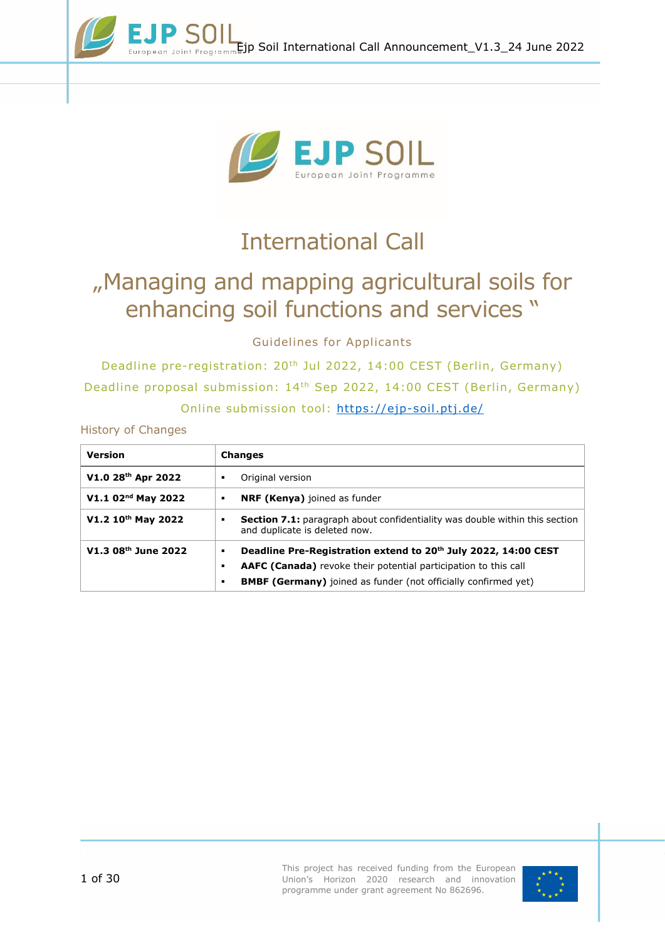



# International Call

# "Managing and mapping agricultural soils for enhancing soil functions and services "

Guidelines for Applicants

Deadline pre-registration: 20th Jul 2022, 14:00 CEST (Berlin, Germany) Deadline proposal submission: 14th Sep 2022, 14:00 CEST (Berlin, Germany) Online submission tool:<https://ejp-soil.ptj.de/>

History of Changes

<span id="page-0-0"></span>

| <b>Version</b>                 | <b>Changes</b>                                                                                                                                                                                                                   |
|--------------------------------|----------------------------------------------------------------------------------------------------------------------------------------------------------------------------------------------------------------------------------|
| V1.0 28th Apr 2022             | Original version<br>٠                                                                                                                                                                                                            |
| V1.1 02 <sup>nd</sup> May 2022 | <b>NRF (Kenya)</b> joined as funder<br>٠                                                                                                                                                                                         |
| V1.2 10 <sup>th</sup> May 2022 | <b>Section 7.1:</b> paragraph about confidentiality was double within this section<br>٠<br>and duplicate is deleted now.                                                                                                         |
| V1.3 08th June 2022            | Deadline Pre-Registration extend to 20th July 2022, 14:00 CEST<br>٠<br><b>AAFC (Canada)</b> revoke their potential participation to this call<br>٠<br><b>BMBF (Germany)</b> joined as funder (not officially confirmed yet)<br>٠ |

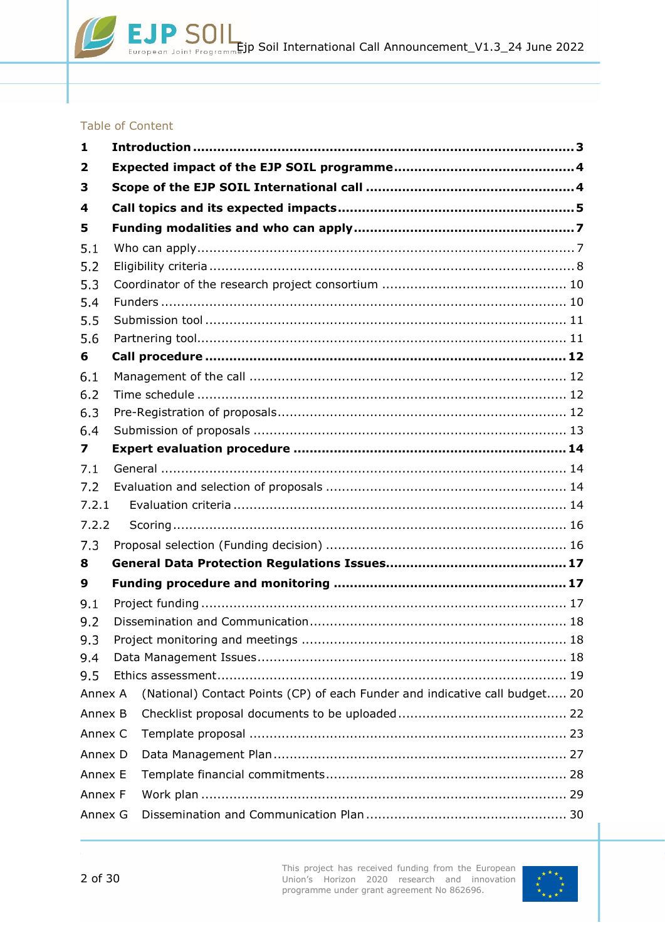### Table of Content

| $\mathbf{1}$ |         |                                                                             |  |  |  |  |  |
|--------------|---------|-----------------------------------------------------------------------------|--|--|--|--|--|
| 2            |         |                                                                             |  |  |  |  |  |
| 3            |         |                                                                             |  |  |  |  |  |
| 4            |         |                                                                             |  |  |  |  |  |
| 5            |         |                                                                             |  |  |  |  |  |
| 5.1          |         |                                                                             |  |  |  |  |  |
| 5.2          |         |                                                                             |  |  |  |  |  |
| 5.3          |         |                                                                             |  |  |  |  |  |
| 5.4          |         |                                                                             |  |  |  |  |  |
| 5.5          |         |                                                                             |  |  |  |  |  |
| 5.6          |         |                                                                             |  |  |  |  |  |
| 6            |         |                                                                             |  |  |  |  |  |
| 6.1          |         |                                                                             |  |  |  |  |  |
| 6.2          |         |                                                                             |  |  |  |  |  |
| 6.3          |         |                                                                             |  |  |  |  |  |
| 6.4          |         |                                                                             |  |  |  |  |  |
| 7            |         |                                                                             |  |  |  |  |  |
| 7.1          |         |                                                                             |  |  |  |  |  |
| 7.2          |         |                                                                             |  |  |  |  |  |
| 7.2.1        |         |                                                                             |  |  |  |  |  |
| 7.2.2        |         |                                                                             |  |  |  |  |  |
| 7.3          |         |                                                                             |  |  |  |  |  |
| 8            |         |                                                                             |  |  |  |  |  |
| 9            |         |                                                                             |  |  |  |  |  |
| 9.1          |         |                                                                             |  |  |  |  |  |
| 9.2          |         |                                                                             |  |  |  |  |  |
| 9.3          |         |                                                                             |  |  |  |  |  |
| 9.4          |         |                                                                             |  |  |  |  |  |
| 9.5          |         |                                                                             |  |  |  |  |  |
| Annex A      |         | (National) Contact Points (CP) of each Funder and indicative call budget 20 |  |  |  |  |  |
| Annex B      |         |                                                                             |  |  |  |  |  |
|              | Annex C |                                                                             |  |  |  |  |  |
| Annex D      |         |                                                                             |  |  |  |  |  |
| Annex E      |         |                                                                             |  |  |  |  |  |
| Annex F      |         |                                                                             |  |  |  |  |  |
| Annex G      |         |                                                                             |  |  |  |  |  |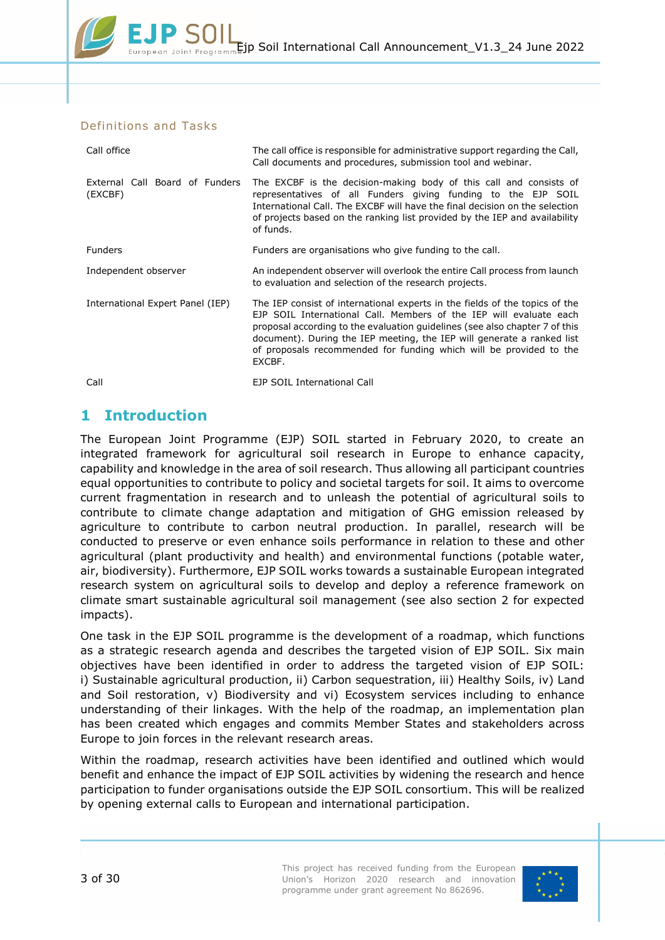### Definitions and Tasks

| Call office                               | The call office is responsible for administrative support regarding the Call,<br>Call documents and procedures, submission tool and webinar.                                                                                                                                                                                                                                               |  |  |  |  |
|-------------------------------------------|--------------------------------------------------------------------------------------------------------------------------------------------------------------------------------------------------------------------------------------------------------------------------------------------------------------------------------------------------------------------------------------------|--|--|--|--|
| External Call Board of Funders<br>(EXCBF) | The EXCBF is the decision-making body of this call and consists of<br>representatives of all Funders giving funding to the EJP SOIL<br>International Call. The EXCBF will have the final decision on the selection<br>of projects based on the ranking list provided by the IEP and availability<br>of funds.                                                                              |  |  |  |  |
| <b>Funders</b>                            | Funders are organisations who give funding to the call.                                                                                                                                                                                                                                                                                                                                    |  |  |  |  |
| Independent observer                      | An independent observer will overlook the entire Call process from launch<br>to evaluation and selection of the research projects.                                                                                                                                                                                                                                                         |  |  |  |  |
| International Expert Panel (IEP)          | The IEP consist of international experts in the fields of the topics of the<br>EJP SOIL International Call. Members of the IEP will evaluate each<br>proposal according to the evaluation guidelines (see also chapter 7 of this<br>document). During the IEP meeting, the IEP will generate a ranked list<br>of proposals recommended for funding which will be provided to the<br>EXCBF. |  |  |  |  |
| Call                                      | EJP SOIL International Call                                                                                                                                                                                                                                                                                                                                                                |  |  |  |  |

# <span id="page-2-0"></span>**1 Introduction**

The European Joint Programme (EJP) SOIL started in February 2020, to create an integrated framework for agricultural soil research in Europe to enhance capacity, capability and knowledge in the area of soil research. Thus allowing all participant countries equal opportunities to contribute to policy and societal targets for soil. It aims to overcome current fragmentation in research and to unleash the potential of agricultural soils to contribute to climate change adaptation and mitigation of GHG emission released by agriculture to contribute to carbon neutral production. In parallel, research will be conducted to preserve or even enhance soils performance in relation to these and other agricultural (plant productivity and health) and environmental functions (potable water, air, biodiversity). Furthermore, EJP SOIL works towards a sustainable European integrated research system on agricultural soils to develop and deploy a reference framework on climate smart sustainable agricultural soil management (see also section [2](#page-3-0) for expected impacts).

One task in the EJP SOIL programme is the development of a roadmap, which functions as a strategic research agenda and describes the targeted vision of EJP SOIL. Six main objectives have been identified in order to address the targeted vision of EJP SOIL: i) Sustainable agricultural production, ii) Carbon sequestration, iii) Healthy Soils, iv) Land and Soil restoration, v) Biodiversity and vi) Ecosystem services including to enhance understanding of their linkages. With the help of the roadmap, an implementation plan has been created which engages and commits Member States and stakeholders across Europe to join forces in the relevant research areas.

Within the roadmap, research activities have been identified and outlined which would benefit and enhance the impact of EJP SOIL activities by widening the research and hence participation to funder organisations outside the EJP SOIL consortium. This will be realized by opening external calls to European and international participation.

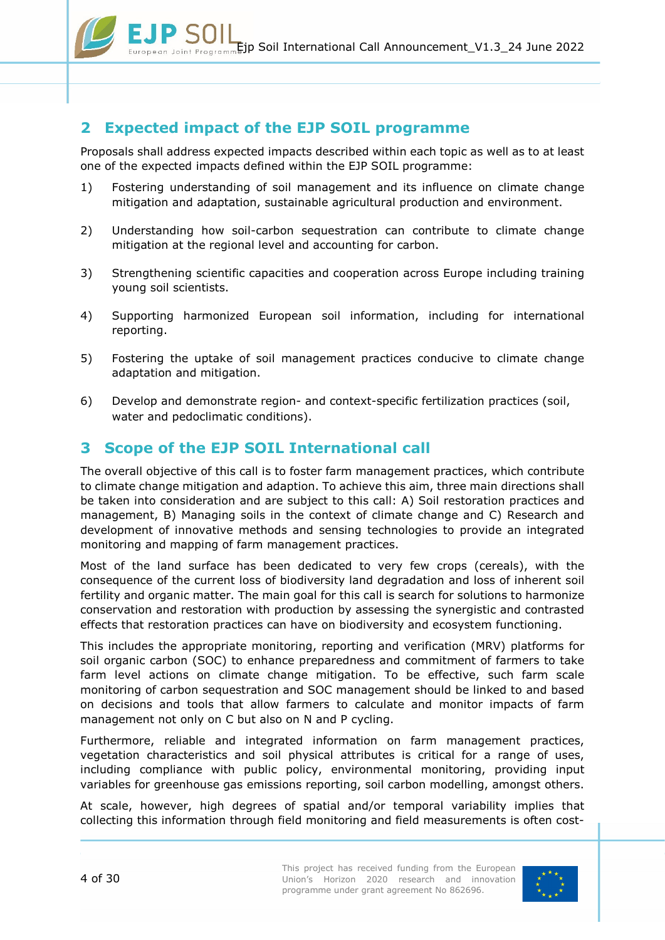

# <span id="page-3-0"></span>**2 Expected impact of the EJP SOIL programme**

Proposals shall address expected impacts described within each topic as well as to at least one of the expected impacts defined within the EJP SOIL programme:

- 1) Fostering understanding of soil management and its influence on climate change mitigation and adaptation, sustainable agricultural production and environment.
- 2) Understanding how soil-carbon sequestration can contribute to climate change mitigation at the regional level and accounting for carbon.
- 3) Strengthening scientific capacities and cooperation across Europe including training young soil scientists.
- 4) Supporting harmonized European soil information, including for international reporting.
- 5) Fostering the uptake of soil management practices conducive to climate change adaptation and mitigation.
- 6) Develop and demonstrate region- and context-specific fertilization practices (soil, water and pedoclimatic conditions).

# <span id="page-3-1"></span>**3 Scope of the EJP SOIL International call**

The overall objective of this call is to foster farm management practices, which contribute to climate change mitigation and adaption. To achieve this aim, three main directions shall be taken into consideration and are subject to this call: A) Soil restoration practices and management, B) Managing soils in the context of climate change and C) Research and development of innovative methods and sensing technologies to provide an integrated monitoring and mapping of farm management practices.

Most of the land surface has been dedicated to very few crops (cereals), with the consequence of the current loss of biodiversity land degradation and loss of inherent soil fertility and organic matter. The main goal for this call is search for solutions to harmonize conservation and restoration with production by assessing the synergistic and contrasted effects that restoration practices can have on biodiversity and ecosystem functioning.

This includes the appropriate monitoring, reporting and verification (MRV) platforms for soil organic carbon (SOC) to enhance preparedness and commitment of farmers to take farm level actions on climate change mitigation. To be effective, such farm scale monitoring of carbon sequestration and SOC management should be linked to and based on decisions and tools that allow farmers to calculate and monitor impacts of farm management not only on C but also on N and P cycling.

Furthermore, reliable and integrated information on farm management practices, vegetation characteristics and soil physical attributes is critical for a range of uses, including compliance with public policy, environmental monitoring, providing input variables for greenhouse gas emissions reporting, soil carbon modelling, amongst others.

At scale, however, high degrees of spatial and/or temporal variability implies that collecting this information through field monitoring and field measurements is often cost-

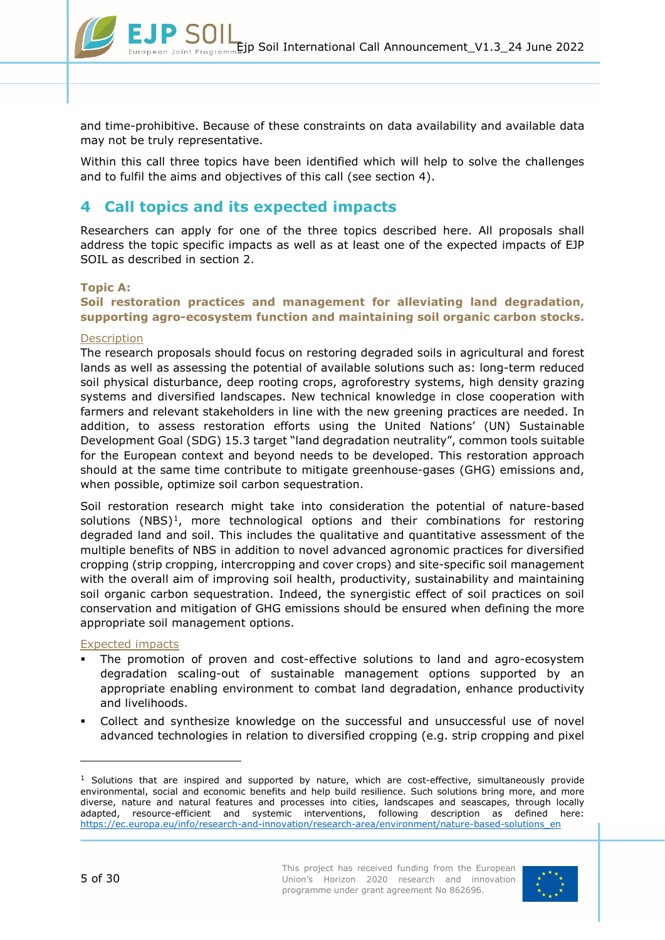

and time-prohibitive. Because of these constraints on data availability and available data may not be truly representative.

Within this call three topics have been identified which will help to solve the challenges and to fulfil the aims and objectives of this call (see section [4\)](#page-4-0).

# <span id="page-4-0"></span>**4 Call topics and its expected impacts**

Researchers can apply for one of the three topics described here. All proposals shall address the topic specific impacts as well as at least one of the expected impacts of EJP SOIL as described in section [2.](#page-3-0)

#### **Topic A:**

### **Soil restoration practices and management for alleviating land degradation, supporting agro-ecosystem function and maintaining soil organic carbon stocks.**

#### **Description**

The research proposals should focus on restoring degraded soils in agricultural and forest lands as well as assessing the potential of available solutions such as: long-term reduced soil physical disturbance, deep rooting crops, agroforestry systems, high density grazing systems and diversified landscapes. New technical knowledge in close cooperation with farmers and relevant stakeholders in line with the new greening practices are needed. In addition, to assess restoration efforts using the United Nations' (UN) Sustainable Development Goal (SDG) 15.3 target "land degradation neutrality", common tools suitable for the European context and beyond needs to be developed. This restoration approach should at the same time contribute to mitigate greenhouse-gases (GHG) emissions and, when possible, optimize soil carbon sequestration.

Soil restoration research might take into consideration the potential of nature-based solutions  $(NBS)^1$ , more technological options and their combinations for restoring degraded land and soil. This includes the qualitative and quantitative assessment of the multiple benefits of NBS in addition to novel advanced agronomic practices for diversified cropping (strip cropping, intercropping and cover crops) and site-specific soil management with the overall aim of improving soil health, productivity, sustainability and maintaining soil organic carbon sequestration. Indeed, the synergistic effect of soil practices on soil conservation and mitigation of GHG emissions should be ensured when defining the more appropriate soil management options.

#### Expected impacts

- The promotion of proven and cost-effective solutions to land and agro-ecosystem degradation scaling-out of sustainable management options supported by an appropriate enabling environment to combat land degradation, enhance productivity and livelihoods.
- Collect and synthesize knowledge on the successful and unsuccessful use of novel advanced technologies in relation to diversified cropping (e.g. strip cropping and pixel

 $<sup>1</sup>$  Solutions that are inspired and supported by nature, which are cost-effective, simultaneously provide</sup> environmental, social and economic benefits and help build resilience. Such solutions bring more, and more diverse, nature and natural features and processes into cities, landscapes and seascapes, through locally adapted, resource-efficient and systemic interventions, following description as defined here: [https://ec.europa.eu/info/research-and-innovation/research-area/environment/nature-based-solutions\\_en](https://ec.europa.eu/info/research-and-innovation/research-area/environment/nature-based-solutions_en)



-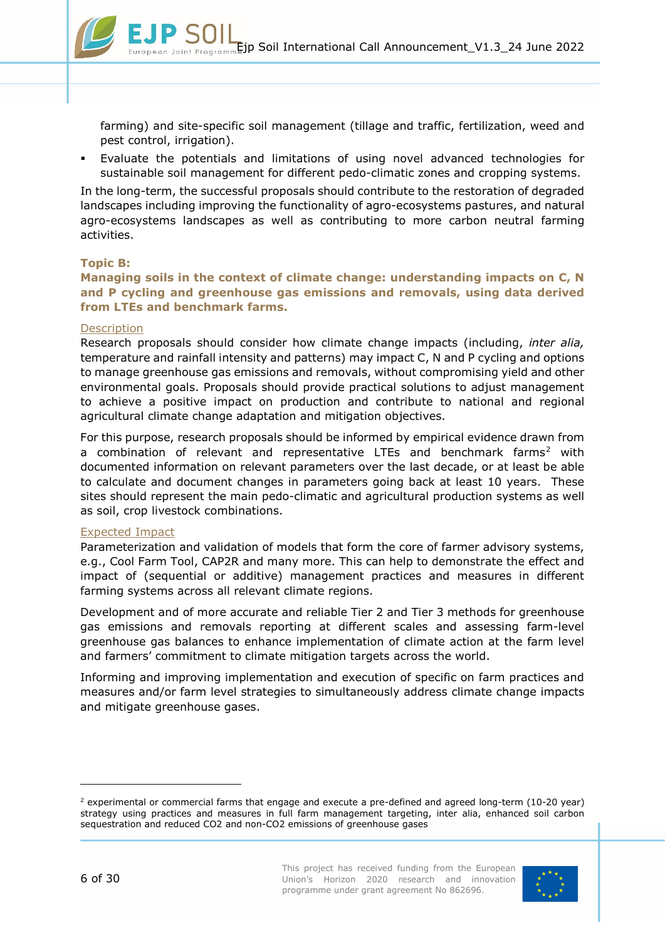farming) and site-specific soil management (tillage and traffic, fertilization, weed and pest control, irrigation).

 Evaluate the potentials and limitations of using novel advanced technologies for sustainable soil management for different pedo-climatic zones and cropping systems.

In the long-term, the successful proposals should contribute to the restoration of degraded landscapes including improving the functionality of agro-ecosystems pastures, and natural agro-ecosystems landscapes as well as contributing to more carbon neutral farming activities.

#### **Topic B:**

**Managing soils in the context of climate change: understanding impacts on C, N and P cycling and greenhouse gas emissions and removals, using data derived from LTEs and benchmark farms.**

#### **Description**

Research proposals should consider how climate change impacts (including, *inter alia,* temperature and rainfall intensity and patterns) may impact C, N and P cycling and options to manage greenhouse gas emissions and removals, without compromising yield and other environmental goals. Proposals should provide practical solutions to adjust management to achieve a positive impact on production and contribute to national and regional agricultural climate change adaptation and mitigation objectives.

For this purpose, research proposals should be informed by empirical evidence drawn from a combination of relevant and representative LTEs and benchmark farms<sup>[2](#page-5-0)</sup> with documented information on relevant parameters over the last decade, or at least be able to calculate and document changes in parameters going back at least 10 years. These sites should represent the main pedo-climatic and agricultural production systems as well as soil, crop livestock combinations.

#### Expected Impact

Parameterization and validation of models that form the core of farmer advisory systems, e.g., Cool Farm Tool, CAP2R and many more. This can help to demonstrate the effect and impact of (sequential or additive) management practices and measures in different farming systems across all relevant climate regions.

Development and of more accurate and reliable Tier 2 and Tier 3 methods for greenhouse gas emissions and removals reporting at different scales and assessing farm-level greenhouse gas balances to enhance implementation of climate action at the farm level and farmers' commitment to climate mitigation targets across the world.

Informing and improving implementation and execution of specific on farm practices and measures and/or farm level strategies to simultaneously address climate change impacts and mitigate greenhouse gases.

-

<span id="page-5-0"></span> $<sup>2</sup>$  experimental or commercial farms that engage and execute a pre-defined and agreed long-term (10-20 year)</sup> strategy using practices and measures in full farm management targeting, inter alia, enhanced soil carbon sequestration and reduced CO2 and non-CO2 emissions of greenhouse gases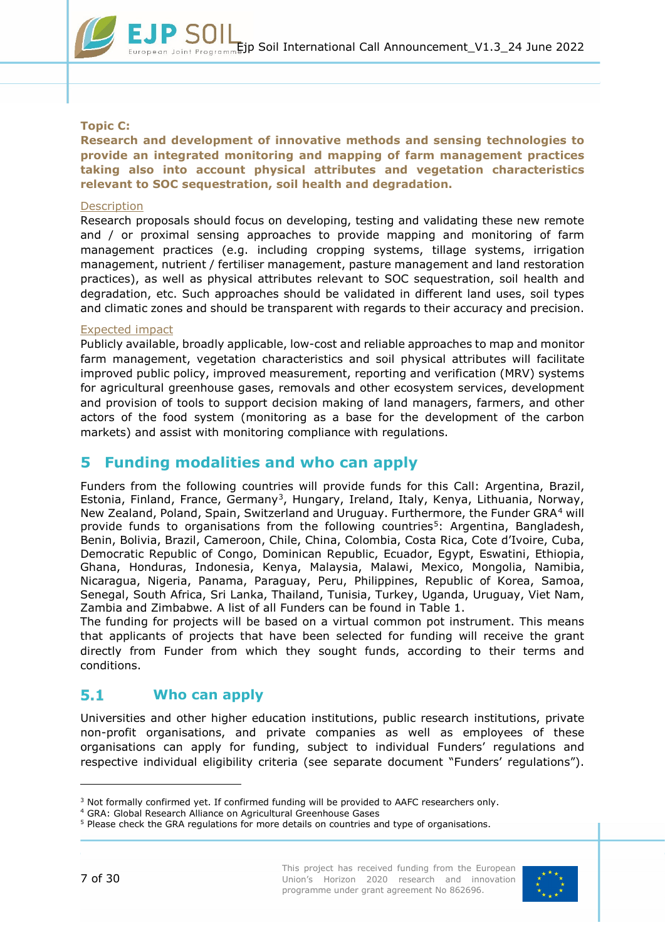

### **Topic C:**

**Research and development of innovative methods and sensing technologies to provide an integrated monitoring and mapping of farm management practices taking also into account physical attributes and vegetation characteristics relevant to SOC sequestration, soil health and degradation.**

#### **Description**

Research proposals should focus on developing, testing and validating these new remote and / or proximal sensing approaches to provide mapping and monitoring of farm management practices (e.g. including cropping systems, tillage systems, irrigation management, nutrient / fertiliser management, pasture management and land restoration practices), as well as physical attributes relevant to SOC sequestration, soil health and degradation, etc. Such approaches should be validated in different land uses, soil types and climatic zones and should be transparent with regards to their accuracy and precision.

#### Expected impact

Publicly available, broadly applicable, low-cost and reliable approaches to map and monitor farm management, vegetation characteristics and soil physical attributes will facilitate improved public policy, improved measurement, reporting and verification (MRV) systems for agricultural greenhouse gases, removals and other ecosystem services, development and provision of tools to support decision making of land managers, farmers, and other actors of the food system (monitoring as a base for the development of the carbon markets) and assist with monitoring compliance with regulations.

# <span id="page-6-0"></span>**5 Funding modalities and who can apply**

Funders from the following countries will provide funds for this Call: Argentina, Brazil, Estonia, Finland, France, Germany<sup>3</sup>, Hungary, Ireland, Italy, Kenya, Lithuania, Norway, New Zealand, Poland, Spain, Switzerland and Uruguay. Furthermore, the Funder GRA[4](#page-6-3) will provide funds to organisations from the following countries<sup>5</sup>: Argentina, Bangladesh, Benin, Bolivia, Brazil, Cameroon, Chile, China, Colombia, Costa Rica, Cote d'Ivoire, Cuba, Democratic Republic of Congo, Dominican Republic, Ecuador, Egypt, Eswatini, Ethiopia, Ghana, Honduras, Indonesia, Kenya, Malaysia, Malawi, Mexico, Mongolia, Namibia, Nicaragua, Nigeria, Panama, Paraguay, Peru, Philippines, Republic of Korea, Samoa, Senegal, South Africa, Sri Lanka, Thailand, Tunisia, Turkey, Uganda, Uruguay, Viet Nam, Zambia and Zimbabwe. A list of all Funders can be found in [Table 1.](#page-9-2)

The funding for projects will be based on a virtual common pot instrument. This means that applicants of projects that have been selected for funding will receive the grant directly from Funder from which they sought funds, according to their terms and conditions.

#### <span id="page-6-1"></span> $5.1$ **Who can apply**

Universities and other higher education institutions, public research institutions, private non-profit organisations, and private companies as well as employees of these organisations can apply for funding, subject to individual Funders' regulations and respective individual eligibility criteria (see separate document "Funders' regulations").



-

<span id="page-6-2"></span><sup>3</sup> Not formally confirmed yet. If confirmed funding will be provided to AAFC researchers only.

<sup>4</sup> GRA: Global Research Alliance on Agricultural Greenhouse Gases

<span id="page-6-4"></span><span id="page-6-3"></span><sup>5</sup> Please check the GRA regulations for more details on countries and type of organisations.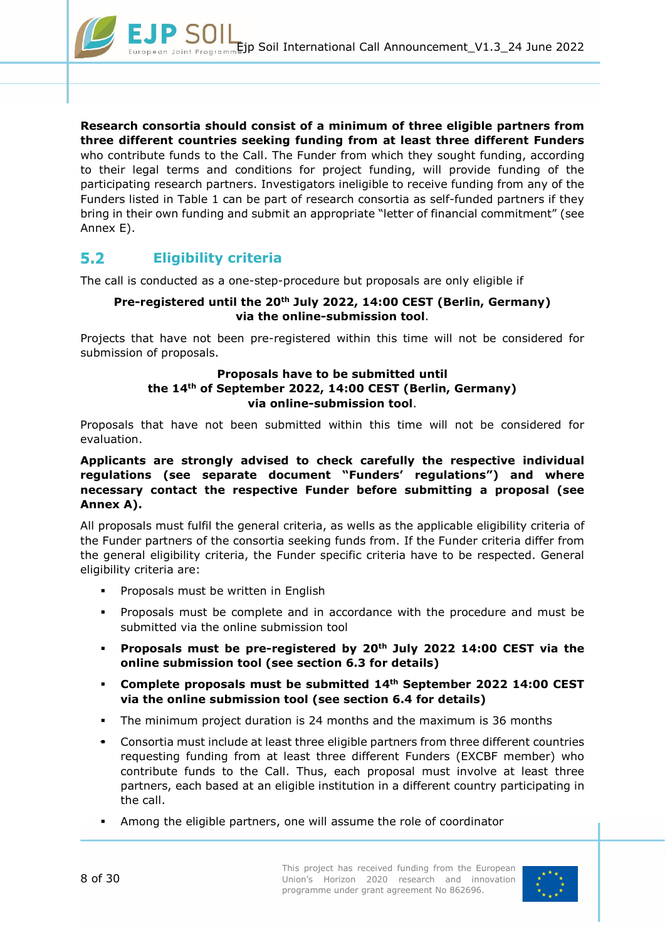

**Research consortia should consist of a minimum of three eligible partners from three different countries seeking funding from at least three different Funders** who contribute funds to the Call. The Funder from which they sought funding, according to their legal terms and conditions for project funding, will provide funding of the participating research partners. Investigators ineligible to receive funding from any of the Funders listed in [Table 1](#page-9-2) can be part of research consortia as self-funded partners if they bring in their own funding and submit an appropriate "letter of financial commitment" (see [Annex E\)](#page-27-0).

#### <span id="page-7-0"></span> $5.2$ **Eligibility criteria**

The call is conducted as a one-step-procedure but proposals are only eligible if

### **Pre-registered until the 20th July 2022, 14:00 CEST (Berlin, Germany) via the online-submission tool**.

Projects that have not been pre-registered within this time will not be considered for submission of proposals.

### **Proposals have to be submitted until the 14th of September 2022, 14:00 CEST (Berlin, Germany) via online-submission tool**.

Proposals that have not been submitted within this time will not be considered for evaluation.

### **Applicants are strongly advised to check carefully the respective individual regulations (see separate document "Funders' regulations") and where necessary contact the respective Funder before submitting a proposal (see [Annex A\)](#page-19-0).**

All proposals must fulfil the general criteria, as wells as the applicable eligibility criteria of the Funder partners of the consortia seeking funds from. If the Funder criteria differ from the general eligibility criteria, the Funder specific criteria have to be respected. General eligibility criteria are:

- Proposals must be written in English
- Proposals must be complete and in accordance with the procedure and must be submitted via the online submission tool
- **Proposals must be pre-registered by 20th July 2022 14:00 CEST via the online submission tool (see section [6.3](#page-11-3) for details)**
- **Complete proposals must be submitted 14th September 2022 14:00 CEST via the online submission tool (see section [6.4](#page-12-0) for details)**
- The minimum project duration is 24 months and the maximum is 36 months
- Consortia must include at least three eligible partners from three different countries requesting funding from at least three different Funders (EXCBF member) who contribute funds to the Call. Thus, each proposal must involve at least three partners, each based at an eligible institution in a different country participating in the call.
- Among the eligible partners, one will assume the role of coordinator

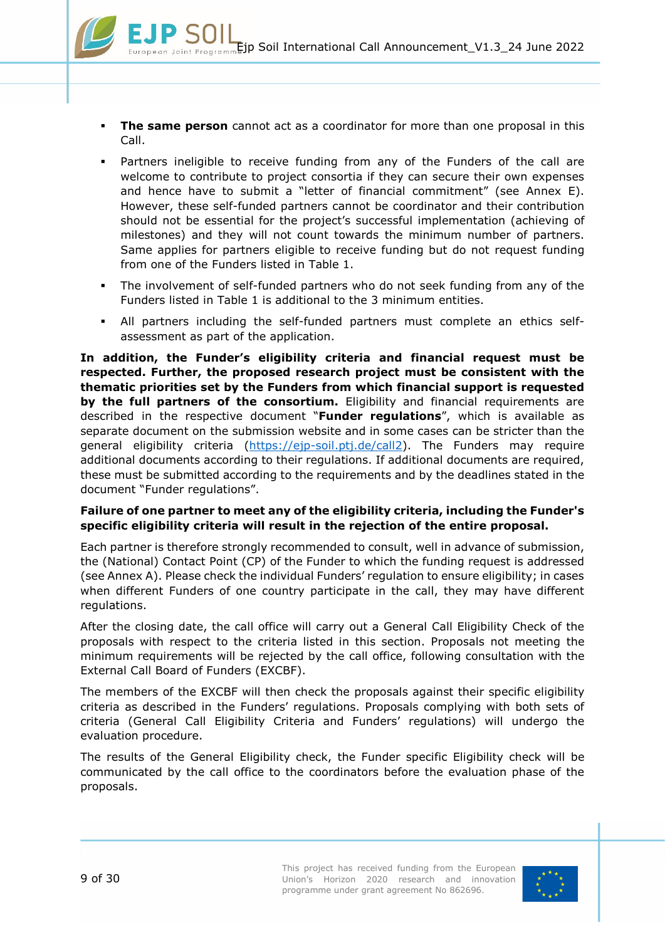- **The same person** cannot act as a coordinator for more than one proposal in this Call.
- Partners ineligible to receive funding from any of the Funders of the call are welcome to contribute to project consortia if they can secure their own expenses and hence have to submit a "letter of financial commitment" (see [Annex E\)](#page-27-0). However, these self-funded partners cannot be coordinator and their contribution should not be essential for the project's successful implementation (achieving of milestones) and they will not count towards the minimum number of partners. Same applies for partners eligible to receive funding but do not request funding from one of the Funders listed in [Table 1.](#page-9-2)
- The involvement of self-funded partners who do not seek funding from any of the Funders listed in [Table 1](#page-9-2) is additional to the 3 minimum entities.
- All partners including the self-funded partners must complete an ethics selfassessment as part of the application.

**In addition, the Funder's eligibility criteria and financial request must be respected. Further, the proposed research project must be consistent with the thematic priorities set by the Funders from which financial support is requested by the full partners of the consortium.** Eligibility and financial requirements are described in the respective document "**Funder regulations**", which is available as separate document on the submission website and in some cases can be stricter than the general eligibility criteria [\(https://ejp-soil.ptj.de/call2\)](https://ejp-soil.ptj.de/call2). The Funders may require additional documents according to their regulations. If additional documents are required, these must be submitted according to the requirements and by the deadlines stated in the document "Funder regulations".

### **Failure of one partner to meet any of the eligibility criteria, including the Funder's specific eligibility criteria will result in the rejection of the entire proposal.**

Each partner is therefore strongly recommended to consult, well in advance of submission, the (National) Contact Point (CP) of the Funder to which the funding request is addressed (see [Annex A\)](#page-19-0). Please check the individual Funders' regulation to ensure eligibility; in cases when different Funders of one country participate in the call, they may have different regulations.

After the closing date, the call office will carry out a General Call Eligibility Check of the proposals with respect to the criteria listed in this section. Proposals not meeting the minimum requirements will be rejected by the call office, following consultation with the External Call Board of Funders (EXCBF).

The members of the EXCBF will then check the proposals against their specific eligibility criteria as described in the Funders' regulations. Proposals complying with both sets of criteria (General Call Eligibility Criteria and Funders' regulations) will undergo the evaluation procedure.

The results of the General Eligibility check, the Funder specific Eligibility check will be communicated by the call office to the coordinators before the evaluation phase of the proposals.

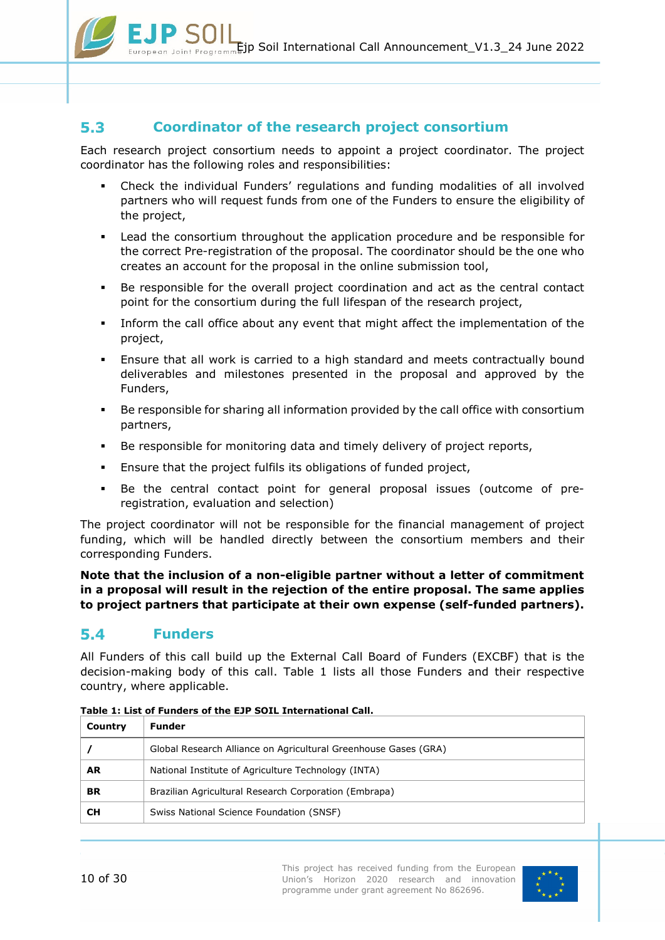

#### <span id="page-9-0"></span> $5.3$ **Coordinator of the research project consortium**

Each research project consortium needs to appoint a project coordinator. The project coordinator has the following roles and responsibilities:

- Check the individual Funders' regulations and funding modalities of all involved partners who will request funds from one of the Funders to ensure the eligibility of the project,
- Lead the consortium throughout the application procedure and be responsible for the correct Pre-registration of the proposal. The coordinator should be the one who creates an account for the proposal in the online submission tool,
- Be responsible for the overall project coordination and act as the central contact point for the consortium during the full lifespan of the research project,
- Inform the call office about any event that might affect the implementation of the project,
- Ensure that all work is carried to a high standard and meets contractually bound deliverables and milestones presented in the proposal and approved by the Funders,
- Be responsible for sharing all information provided by the call office with consortium partners,
- Be responsible for monitoring data and timely delivery of project reports,
- Ensure that the project fulfils its obligations of funded project,
- Be the central contact point for general proposal issues (outcome of preregistration, evaluation and selection)

The project coordinator will not be responsible for the financial management of project funding, which will be handled directly between the consortium members and their corresponding Funders.

**Note that the inclusion of a non-eligible partner without a letter of commitment in a proposal will result in the rejection of the entire proposal. The same applies to project partners that participate at their own expense (self-funded partners).**

#### <span id="page-9-1"></span> $5.4$ **Funders**

All Funders of this call build up the External Call Board of Funders (EXCBF) that is the decision-making body of this call. [Table 1](#page-9-2) lists all those Funders and their respective country, where applicable.

| Country | Funder                                                          |
|---------|-----------------------------------------------------------------|
|         | Global Research Alliance on Agricultural Greenhouse Gases (GRA) |
| AR.     | National Institute of Agriculture Technology (INTA)             |
| BR      | Brazilian Agricultural Research Corporation (Embrapa)           |
| CН      | Swiss National Science Foundation (SNSF)                        |
|         |                                                                 |

<span id="page-9-2"></span>**Table 1: List of Funders of the EJP SOIL International Call.**

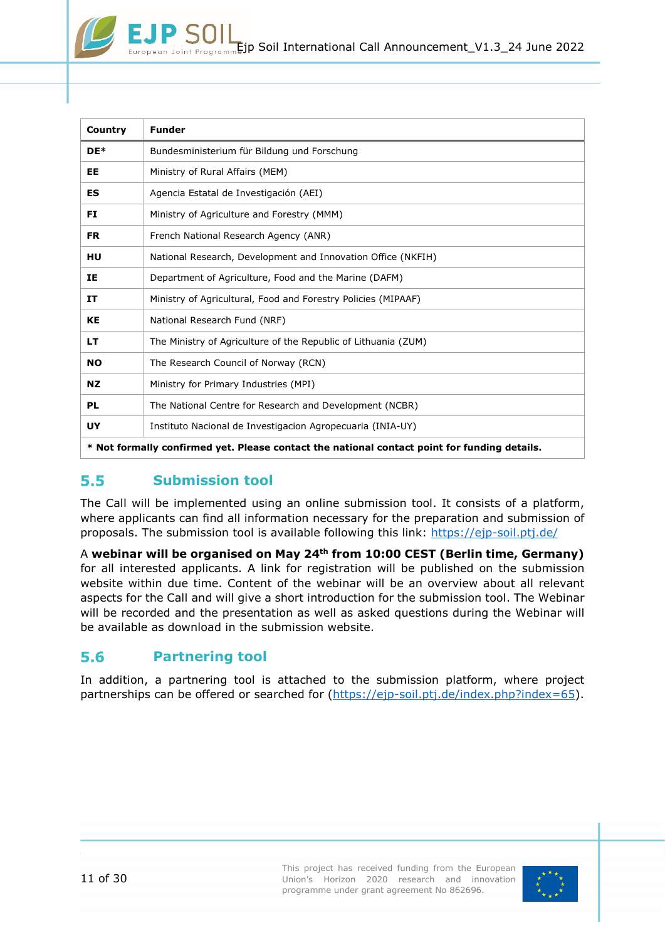| Country                                                                                      | <b>Funder</b>                                                  |  |  |  |  |  |
|----------------------------------------------------------------------------------------------|----------------------------------------------------------------|--|--|--|--|--|
| DE*                                                                                          | Bundesministerium für Bildung und Forschung                    |  |  |  |  |  |
| EE                                                                                           | Ministry of Rural Affairs (MEM)                                |  |  |  |  |  |
| ES                                                                                           | Agencia Estatal de Investigación (AEI)                         |  |  |  |  |  |
| FI                                                                                           | Ministry of Agriculture and Forestry (MMM)                     |  |  |  |  |  |
| <b>FR</b>                                                                                    | French National Research Agency (ANR)                          |  |  |  |  |  |
| HU                                                                                           | National Research, Development and Innovation Office (NKFIH)   |  |  |  |  |  |
| IΕ                                                                                           | Department of Agriculture, Food and the Marine (DAFM)          |  |  |  |  |  |
| IT                                                                                           | Ministry of Agricultural, Food and Forestry Policies (MIPAAF)  |  |  |  |  |  |
| KE                                                                                           | National Research Fund (NRF)                                   |  |  |  |  |  |
| LТ                                                                                           | The Ministry of Agriculture of the Republic of Lithuania (ZUM) |  |  |  |  |  |
| <b>NO</b>                                                                                    | The Research Council of Norway (RCN)                           |  |  |  |  |  |
| <b>NZ</b>                                                                                    | Ministry for Primary Industries (MPI)                          |  |  |  |  |  |
| <b>PL</b>                                                                                    | The National Centre for Research and Development (NCBR)        |  |  |  |  |  |
| UY                                                                                           | Instituto Nacional de Investigacion Agropecuaria (INIA-UY)     |  |  |  |  |  |
| * Not formally confirmed yet. Please contact the national contact point for funding details. |                                                                |  |  |  |  |  |

#### <span id="page-10-0"></span> $5.5$ **Submission tool**

The Call will be implemented using an online submission tool. It consists of a platform, where applicants can find all information necessary for the preparation and submission of proposals. The submission tool is available following this link:<https://ejp-soil.ptj.de/>

A **webinar will be organised on May 24th from 10:00 CEST (Berlin time, Germany)** for all interested applicants. A link for registration will be published on the submission website within due time. Content of the webinar will be an overview about all relevant aspects for the Call and will give a short introduction for the submission tool. The Webinar will be recorded and the presentation as well as asked questions during the Webinar will be available as download in the submission website.

#### <span id="page-10-1"></span> $5.6$ **Partnering tool**

In addition, a partnering tool is attached to the submission platform, where project partnerships can be offered or searched for [\(https://ejp-soil.ptj.de/index.php?index=65\)](https://ejp-soil.ptj.de/index.php?index=65).

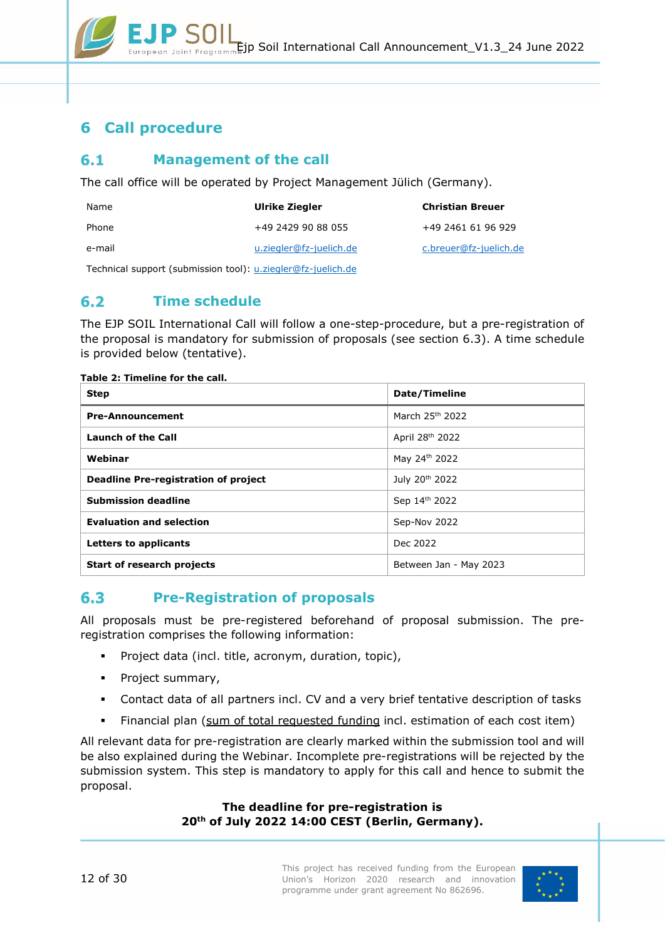# <span id="page-11-0"></span>**6 Call procedure**

#### <span id="page-11-1"></span> $6.1$ **Management of the call**

The call office will be operated by Project Management Jülich (Germany).

| Name   | Ulrike Ziegler          | <b>Christian Breuer</b> |
|--------|-------------------------|-------------------------|
| Phone  | +49 2429 90 88 055      | +49 2461 61 96 929      |
| e-mail | u.ziegler@fz-juelich.de | c.breuer@fz-juelich.de  |
|        |                         |                         |

Technical support (submission tool): [u.ziegler@fz-juelich.de](mailto:u.ziegler@fz-juelich.de)

#### <span id="page-11-2"></span> $6.2$ **Time schedule**

The EJP SOIL International Call will follow a one-step-procedure, but a pre-registration of the proposal is mandatory for submission of proposals (see section [6.3\)](#page-11-3). A time schedule is provided below (tentative).

#### **Table 2: Timeline for the call.**

| <b>Step</b>                          | Date/Timeline               |  |  |
|--------------------------------------|-----------------------------|--|--|
| <b>Pre-Announcement</b>              | March 25 <sup>th</sup> 2022 |  |  |
| <b>Launch of the Call</b>            | April 28 <sup>th</sup> 2022 |  |  |
| Webinar                              | May 24th 2022               |  |  |
| Deadline Pre-registration of project | July 20 <sup>th</sup> 2022  |  |  |
| <b>Submission deadline</b>           | Sep 14th 2022               |  |  |
| <b>Evaluation and selection</b>      | Sep-Nov 2022                |  |  |
| Letters to applicants                | Dec 2022                    |  |  |
| <b>Start of research projects</b>    | Between Jan - May 2023      |  |  |

#### <span id="page-11-3"></span> $6.3$ **Pre-Registration of proposals**

All proposals must be pre-registered beforehand of proposal submission. The preregistration comprises the following information:

- Project data (incl. title, acronym, duration, topic),
- **•** Project summary,
- Contact data of all partners incl. CV and a very brief tentative description of tasks
- Financial plan (sum of total requested funding incl. estimation of each cost item)

All relevant data for pre-registration are clearly marked within the submission tool and will be also explained during the Webinar. Incomplete pre-registrations will be rejected by the submission system. This step is mandatory to apply for this call and hence to submit the proposal.

> **The deadline for pre-registration is 20th of July 2022 14:00 CEST (Berlin, Germany).**

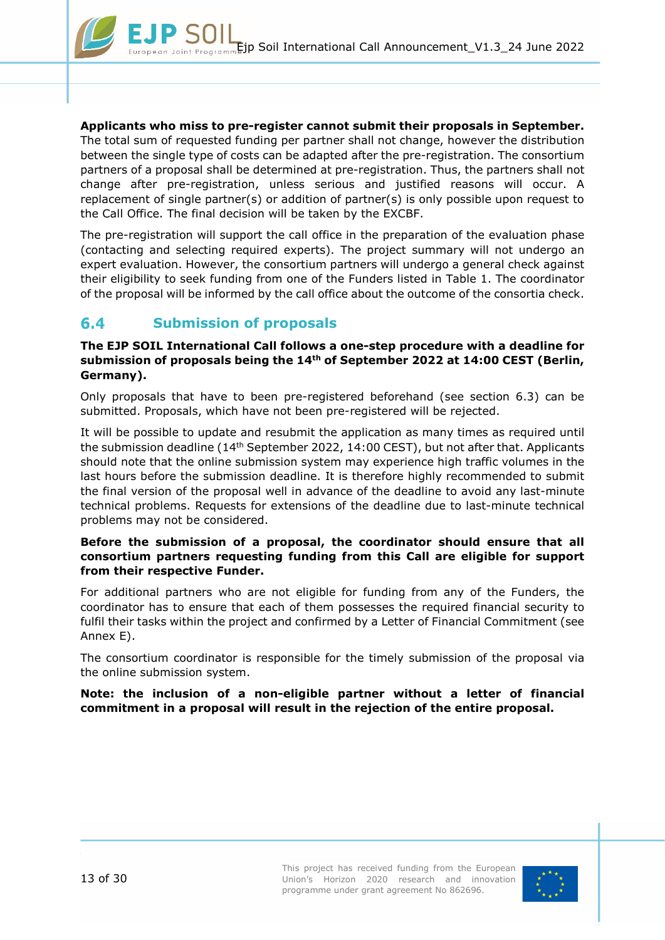

**Applicants who miss to pre-register cannot submit their proposals in September.**  The total sum of requested funding per partner shall not change, however the distribution between the single type of costs can be adapted after the pre-registration. The consortium partners of a proposal shall be determined at pre-registration. Thus, the partners shall not change after pre-registration, unless serious and justified reasons will occur. A replacement of single partner(s) or addition of partner(s) is only possible upon request to the Call Office. The final decision will be taken by the EXCBF.

The pre-registration will support the call office in the preparation of the evaluation phase (contacting and selecting required experts). The project summary will not undergo an expert evaluation. However, the consortium partners will undergo a general check against their eligibility to seek funding from one of the Funders listed in [Table 1.](#page-9-2) The coordinator of the proposal will be informed by the call office about the outcome of the consortia check.

#### <span id="page-12-0"></span> $6.4$ **Submission of proposals**

### **The EJP SOIL International Call follows a one-step procedure with a deadline for submission of proposals being the 14th of September 2022 at 14:00 CEST (Berlin, Germany).**

Only proposals that have to been pre-registered beforehand (see section [6.3\)](#page-11-3) can be submitted. Proposals, which have not been pre-registered will be rejected.

It will be possible to update and resubmit the application as many times as required until the submission deadline (14th September 2022, 14:00 CEST), but not after that. Applicants should note that the online submission system may experience high traffic volumes in the last hours before the submission deadline. It is therefore highly recommended to submit the final version of the proposal well in advance of the deadline to avoid any last-minute technical problems. Requests for extensions of the deadline due to last-minute technical problems may not be considered.

### **Before the submission of a proposal, the coordinator should ensure that all consortium partners requesting funding from this Call are eligible for support from their respective Funder.**

For additional partners who are not eligible for funding from any of the Funders, the coordinator has to ensure that each of them possesses the required financial security to fulfil their tasks within the project and confirmed by a Letter of Financial Commitment (see [Annex E\)](#page-27-0).

The consortium coordinator is responsible for the timely submission of the proposal via the online submission system.

**Note: the inclusion of a non-eligible partner without a letter of financial commitment in a proposal will result in the rejection of the entire proposal.**

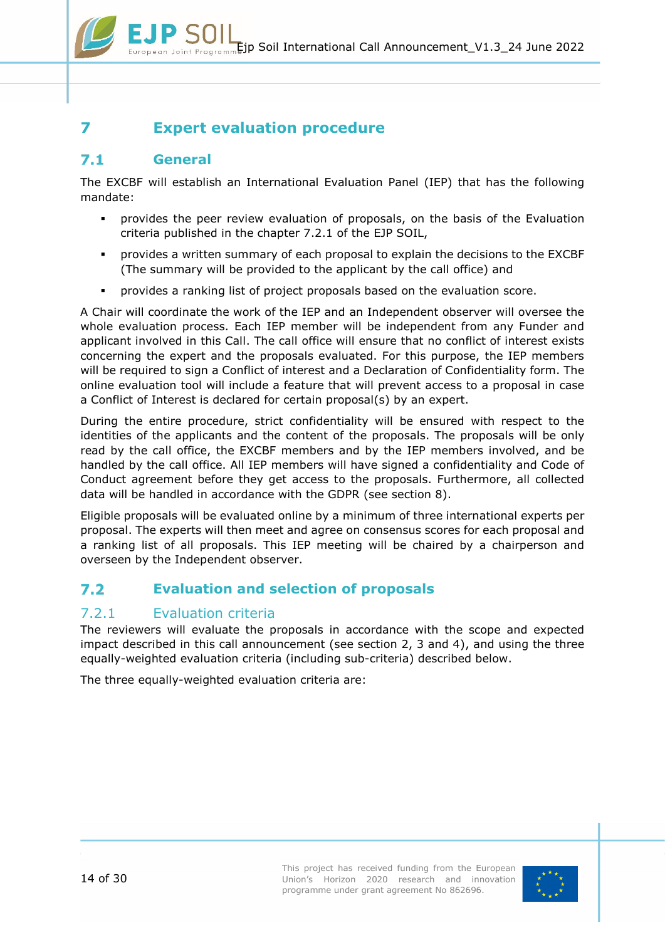# <span id="page-13-0"></span>**7 Expert evaluation procedure**

#### <span id="page-13-1"></span> $7.1$ **General**

The EXCBF will establish an International Evaluation Panel (IEP) that has the following mandate:

- provides the peer review evaluation of proposals, on the basis of the Evaluation criteria published in the chapter [7.2.1](#page-13-3) of the EJP SOIL,
- provides a written summary of each proposal to explain the decisions to the EXCBF (The summary will be provided to the applicant by the call office) and
- provides a ranking list of project proposals based on the evaluation score.

A Chair will coordinate the work of the IEP and an Independent observer will oversee the whole evaluation process. Each IEP member will be independent from any Funder and applicant involved in this Call. The call office will ensure that no conflict of interest exists concerning the expert and the proposals evaluated. For this purpose, the IEP members will be required to sign a Conflict of interest and a Declaration of Confidentiality form. The online evaluation tool will include a feature that will prevent access to a proposal in case a Conflict of Interest is declared for certain proposal(s) by an expert.

During the entire procedure, strict confidentiality will be ensured with respect to the identities of the applicants and the content of the proposals. The proposals will be only read by the call office, the EXCBF members and by the IEP members involved, and be handled by the call office. All IEP members will have signed a confidentiality and Code of Conduct agreement before they get access to the proposals. Furthermore, all collected data will be handled in accordance with the GDPR (see section [8\)](#page-16-0).

Eligible proposals will be evaluated online by a minimum of three international experts per proposal. The experts will then meet and agree on consensus scores for each proposal and a ranking list of all proposals. This IEP meeting will be chaired by a chairperson and overseen by the Independent observer.

#### <span id="page-13-2"></span> $7.2$ **Evaluation and selection of proposals**

## <span id="page-13-3"></span>7.2.1 Evaluation criteria

The reviewers will evaluate the proposals in accordance with the scope and expected impact described in this call announcement (see section [2,](#page-3-1) 3 and [4\)](#page-4-0), and using the three equally-weighted evaluation criteria (including sub-criteria) described below.

The three equally-weighted evaluation criteria are: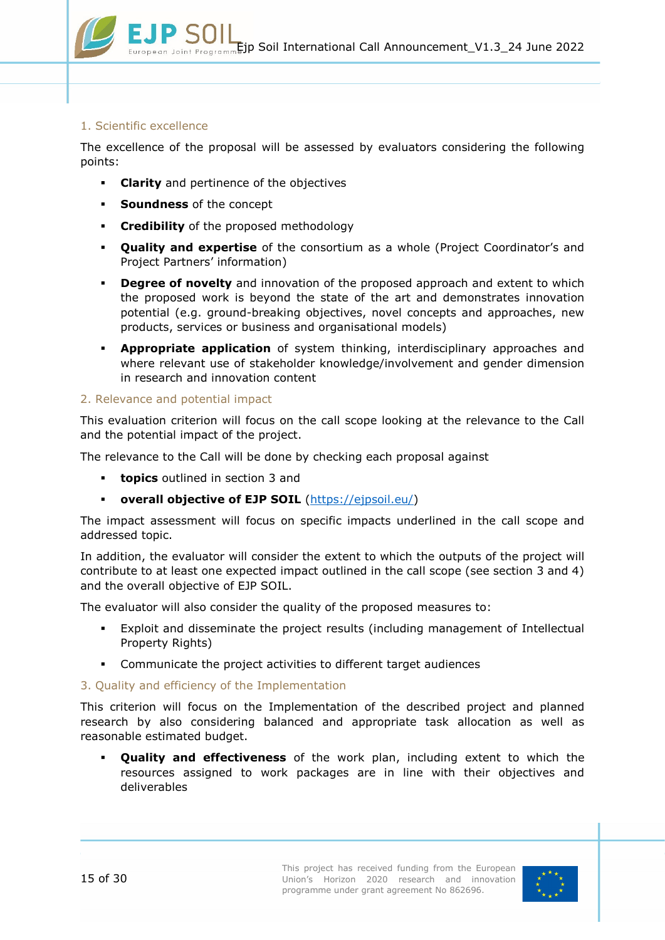#### 1. Scientific excellence

The excellence of the proposal will be assessed by evaluators considering the following points:

- **Clarity** and pertinence of the objectives
- **Soundness** of the concept
- **Credibility** of the proposed methodology
- **Quality and expertise** of the consortium as a whole (Project Coordinator's and Project Partners' information)
- **Degree of novelty** and innovation of the proposed approach and extent to which the proposed work is beyond the state of the art and demonstrates innovation potential (e.g. ground-breaking objectives, novel concepts and approaches, new products, services or business and organisational models)
- **Appropriate application** of system thinking, interdisciplinary approaches and where relevant use of stakeholder knowledge/involvement and gender dimension in research and innovation content

### 2. Relevance and potential impact

This evaluation criterion will focus on the call scope looking at the relevance to the Call and the potential impact of the project.

The relevance to the Call will be done by checking each proposal against

- **topics** outlined in section [3](#page-4-0) and
- **overall objective of EJP SOIL** [\(https://ejpsoil.eu/\)](https://ejpsoil.eu/)

The impact assessment will focus on specific impacts underlined in the call scope and addressed topic.

In addition, the evaluator will consider the extent to which the outputs of the project will contribute to at least one expected impact outlined in the call scope (see section 3 and [4\)](#page-3-0) and the overall objective of EJP SOIL.

The evaluator will also consider the quality of the proposed measures to:

- Exploit and disseminate the project results (including management of Intellectual Property Rights)
- Communicate the project activities to different target audiences

### 3. Quality and efficiency of the Implementation

This criterion will focus on the Implementation of the described project and planned research by also considering balanced and appropriate task allocation as well as reasonable estimated budget.

 **Quality and effectiveness** of the work plan, including extent to which the resources assigned to work packages are in line with their objectives and deliverables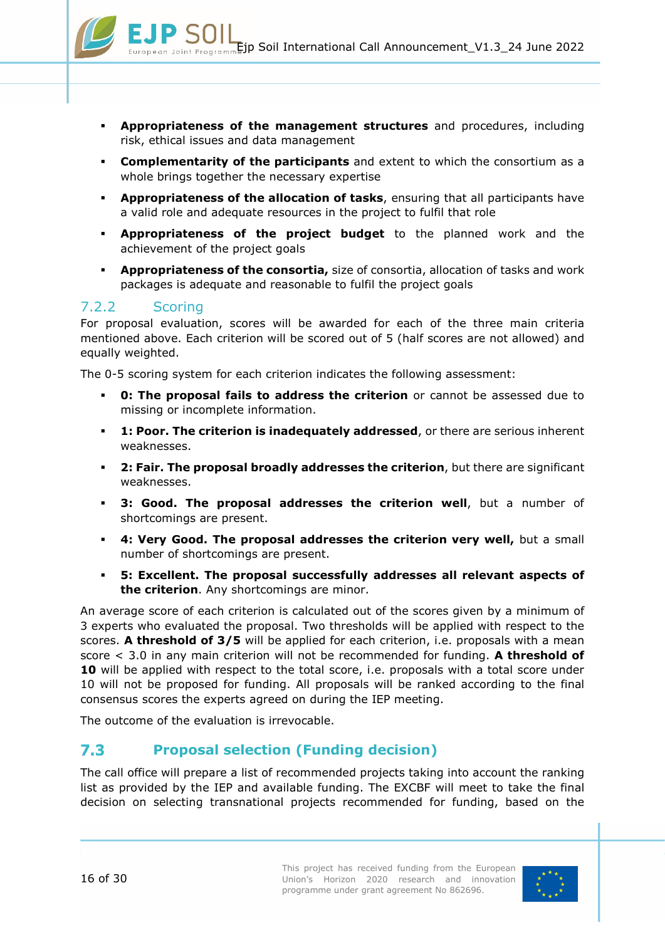- **Appropriateness of the management structures** and procedures, including risk, ethical issues and data management
- **Complementarity of the participants** and extent to which the consortium as a whole brings together the necessary expertise
- **Appropriateness of the allocation of tasks**, ensuring that all participants have a valid role and adequate resources in the project to fulfil that role
- **Appropriateness of the project budget** to the planned work and the achievement of the project goals
- **Appropriateness of the consortia,** size of consortia, allocation of tasks and work packages is adequate and reasonable to fulfil the project goals

## <span id="page-15-0"></span>7.2.2 Scoring

For proposal evaluation, scores will be awarded for each of the three main criteria mentioned above. Each criterion will be scored out of 5 (half scores are not allowed) and equally weighted.

The 0-5 scoring system for each criterion indicates the following assessment:

- **0: The proposal fails to address the criterion** or cannot be assessed due to missing or incomplete information.
- **1: Poor. The criterion is inadequately addressed**, or there are serious inherent weaknesses.
- **2: Fair. The proposal broadly addresses the criterion**, but there are significant weaknesses.
- **3: Good. The proposal addresses the criterion well**, but a number of shortcomings are present.
- **4: Very Good. The proposal addresses the criterion very well,** but a small number of shortcomings are present.
- **5: Excellent. The proposal successfully addresses all relevant aspects of the criterion**. Any shortcomings are minor.

An average score of each criterion is calculated out of the scores given by a minimum of 3 experts who evaluated the proposal. Two thresholds will be applied with respect to the scores. **A threshold of 3/5** will be applied for each criterion, i.e. proposals with a mean score < 3.0 in any main criterion will not be recommended for funding. **A threshold of 10** will be applied with respect to the total score, i.e. proposals with a total score under 10 will not be proposed for funding. All proposals will be ranked according to the final consensus scores the experts agreed on during the IEP meeting.

The outcome of the evaluation is irrevocable.

#### <span id="page-15-1"></span> $7.3$ **Proposal selection (Funding decision)**

The call office will prepare a list of recommended projects taking into account the ranking list as provided by the IEP and available funding. The EXCBF will meet to take the final decision on selecting transnational projects recommended for funding, based on the

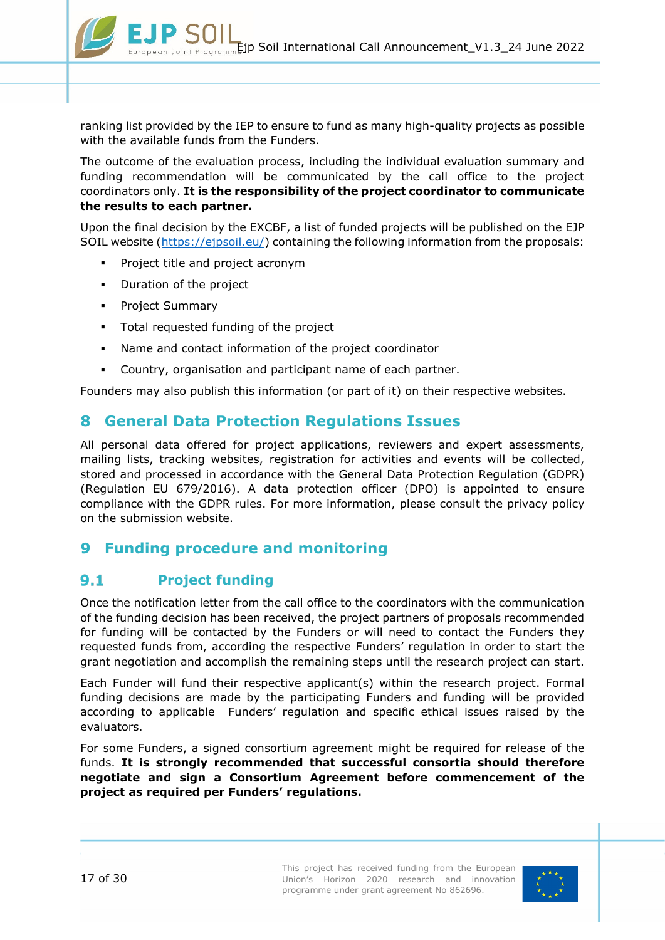

ranking list provided by the IEP to ensure to fund as many high-quality projects as possible with the available funds from the Funders.

The outcome of the evaluation process, including the individual evaluation summary and funding recommendation will be communicated by the call office to the project coordinators only. **It is the responsibility of the project coordinator to communicate the results to each partner.**

Upon the final decision by the EXCBF, a list of funded projects will be published on the EJP SOIL website [\(https://ejpsoil.eu/\)](https://ejpsoil.eu/) containing the following information from the proposals:

- Project title and project acronym
- **•** Duration of the project
- **•** Project Summary
- Total requested funding of the project
- Name and contact information of the project coordinator
- Country, organisation and participant name of each partner.

Founders may also publish this information (or part of it) on their respective websites.

# <span id="page-16-0"></span>**8 General Data Protection Regulations Issues**

All personal data offered for project applications, reviewers and expert assessments, mailing lists, tracking websites, registration for activities and events will be collected, stored and processed in accordance with the General Data Protection Regulation (GDPR) (Regulation EU 679/2016). A data protection officer (DPO) is appointed to ensure compliance with the GDPR rules. For more information, please consult the privacy policy on the submission website.

# <span id="page-16-1"></span>**9 Funding procedure and monitoring**

#### <span id="page-16-2"></span>**Project funding**  $9.1$

Once the notification letter from the call office to the coordinators with the communication of the funding decision has been received, the project partners of proposals recommended for funding will be contacted by the Funders or will need to contact the Funders they requested funds from, according the respective Funders' regulation in order to start the grant negotiation and accomplish the remaining steps until the research project can start.

Each Funder will fund their respective applicant(s) within the research project. Formal funding decisions are made by the participating Funders and funding will be provided according to applicable Funders' regulation and specific ethical issues raised by the evaluators.

For some Funders, a signed consortium agreement might be required for release of the funds. **It is strongly recommended that successful consortia should therefore negotiate and sign a Consortium Agreement before commencement of the project as required per Funders' regulations.**

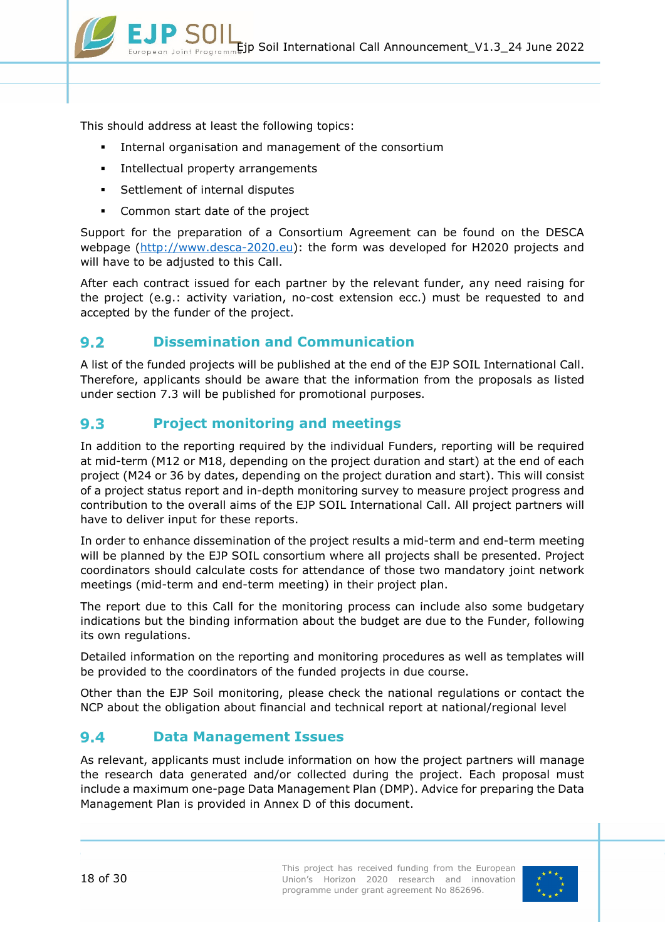

This should address at least the following topics:

- Internal organisation and management of the consortium
- **Intellectual property arrangements**
- **Settlement of internal disputes**
- Common start date of the project

Support for the preparation of a Consortium Agreement can be found on the DESCA webpage [\(http://www.desca-2020.eu\)](http://www.desca-2020.eu/): the form was developed for H2020 projects and will have to be adjusted to this Call.

After each contract issued for each partner by the relevant funder, any need raising for the project (e.g.: activity variation, no-cost extension ecc.) must be requested to and accepted by the funder of the project.

#### <span id="page-17-0"></span>**Dissemination and Communication**  $9.2$

A list of the funded projects will be published at the end of the EJP SOIL International Call. Therefore, applicants should be aware that the information from the proposals as listed under section [7.3](#page-15-1) will be published for promotional purposes.

#### <span id="page-17-1"></span> $9.3$ **Project monitoring and meetings**

In addition to the reporting required by the individual Funders, reporting will be required at mid-term (M12 or M18, depending on the project duration and start) at the end of each project (M24 or 36 by dates, depending on the project duration and start). This will consist of a project status report and in-depth monitoring survey to measure project progress and contribution to the overall aims of the EJP SOIL International Call. All project partners will have to deliver input for these reports.

In order to enhance dissemination of the project results a mid-term and end-term meeting will be planned by the EJP SOIL consortium where all projects shall be presented. Project coordinators should calculate costs for attendance of those two mandatory joint network meetings (mid-term and end-term meeting) in their project plan.

The report due to this Call for the monitoring process can include also some budgetary indications but the binding information about the budget are due to the Funder, following its own regulations.

Detailed information on the reporting and monitoring procedures as well as templates will be provided to the coordinators of the funded projects in due course.

Other than the EJP Soil monitoring, please check the national regulations or contact the NCP about the obligation about financial and technical report at national/regional level

#### <span id="page-17-2"></span> $9.4$ **Data Management Issues**

As relevant, applicants must include information on how the project partners will manage the research data generated and/or collected during the project. Each proposal must include a maximum one-page Data Management Plan (DMP). Advice for preparing the Data Management Plan is provided in [Annex D](#page-26-0) of this document.

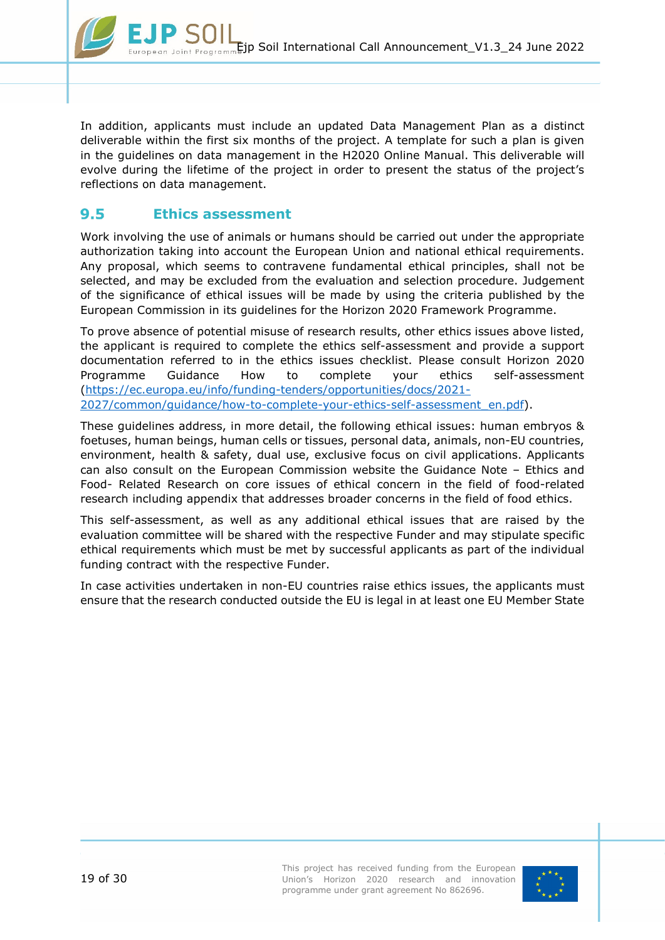

In addition, applicants must include an updated Data Management Plan as a distinct deliverable within the first six months of the project. A template for such a plan is given in the guidelines on data management in the H2020 Online Manual. This deliverable will evolve during the lifetime of the project in order to present the status of the project's reflections on data management.

#### <span id="page-18-0"></span> $9.5$ **Ethics assessment**

Work involving the use of animals or humans should be carried out under the appropriate authorization taking into account the European Union and national ethical requirements. Any proposal, which seems to contravene fundamental ethical principles, shall not be selected, and may be excluded from the evaluation and selection procedure. Judgement of the significance of ethical issues will be made by using the criteria published by the European Commission in its guidelines for the Horizon 2020 Framework Programme.

To prove absence of potential misuse of research results, other ethics issues above listed, the applicant is required to complete the ethics self-assessment and provide a support documentation referred to in the ethics issues checklist. Please consult Horizon 2020 Programme Guidance How to complete your ethics self-assessment [\(https://ec.europa.eu/info/funding-tenders/opportunities/docs/2021-](https://ec.europa.eu/info/funding-tenders/opportunities/docs/2021-2027/common/guidance/how-to-complete-your-ethics-self-assessment_en.pdf) [2027/common/guidance/how-to-complete-your-ethics-self-assessment\\_en.pdf\)](https://ec.europa.eu/info/funding-tenders/opportunities/docs/2021-2027/common/guidance/how-to-complete-your-ethics-self-assessment_en.pdf).

These guidelines address, in more detail, the following ethical issues: human embryos & foetuses, human beings, human cells or tissues, personal data, animals, non-EU countries, environment, health & safety, dual use, exclusive focus on civil applications. Applicants can also consult on the European Commission website the Guidance Note – Ethics and Food- Related Research on core issues of ethical concern in the field of food-related research including appendix that addresses broader concerns in the field of food ethics.

This self-assessment, as well as any additional ethical issues that are raised by the evaluation committee will be shared with the respective Funder and may stipulate specific ethical requirements which must be met by successful applicants as part of the individual funding contract with the respective Funder.

In case activities undertaken in non-EU countries raise ethics issues, the applicants must ensure that the research conducted outside the EU is legal in at least one EU Member State

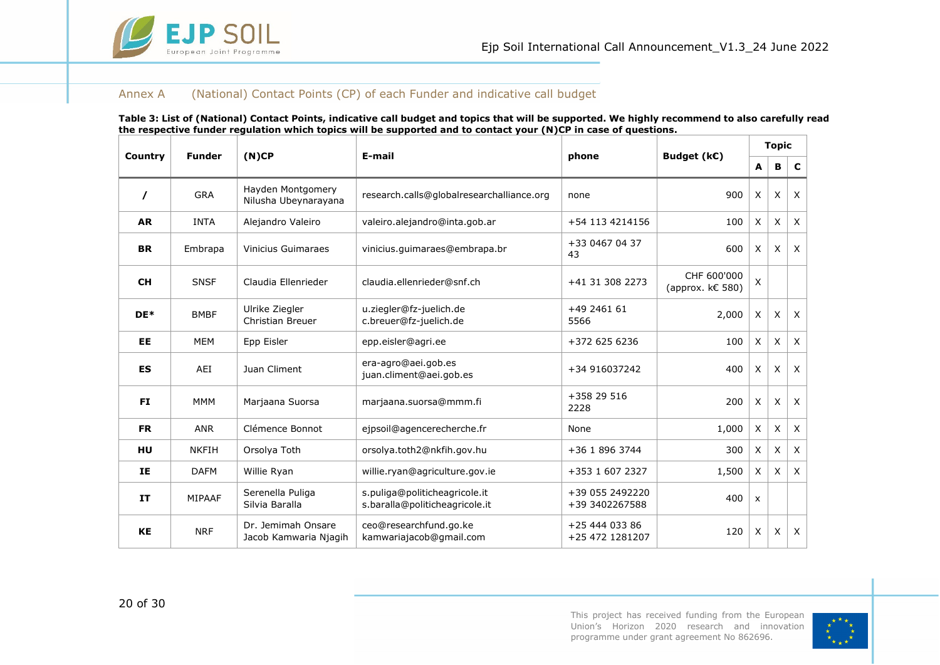

#### Annex A (National) Contact Points (CP) of each Funder and indicative call budget

<span id="page-19-0"></span>

|           | <b>Funder</b> |                                             | ave rander regalation which topics will be supported and to contact your (117cr in case or q |                                   |                                 |              | <b>Topic</b> |              |
|-----------|---------------|---------------------------------------------|----------------------------------------------------------------------------------------------|-----------------------------------|---------------------------------|--------------|--------------|--------------|
| Country   |               | (N)CP                                       | E-mail                                                                                       | phone                             | Budget (k€)                     | A            | В            | C            |
| $\prime$  | <b>GRA</b>    | Hayden Montgomery<br>Nilusha Ubeynarayana   | research.calls@globalresearchalliance.org                                                    | none                              | 900                             | X            | $\times$     | $\mathsf{x}$ |
| <b>AR</b> | <b>INTA</b>   | Alejandro Valeiro                           | valeiro.alejandro@inta.gob.ar                                                                | +54 113 4214156                   | 100                             | X            | X            | $\times$     |
| <b>BR</b> | Embrapa       | <b>Vinicius Guimaraes</b>                   | vinicius.guimaraes@embrapa.br                                                                | +33 0467 04 37<br>43              |                                 | X            | $\mathsf{X}$ | $\times$     |
| <b>CH</b> | <b>SNSF</b>   | Claudia Ellenrieder                         | claudia.ellenrieder@snf.ch<br>+41 31 308 2273                                                |                                   | CHF 600'000<br>(approx. k€ 580) | $\mathsf{x}$ |              |              |
| DE*       | <b>BMBF</b>   | Ulrike Ziegler<br>Christian Breuer          | u.ziegler@fz-juelich.de<br>+49 2461 61<br>c.breuer@fz-juelich.de<br>5566                     |                                   | 2,000                           | X            | X            | $\times$     |
| <b>EE</b> | <b>MEM</b>    | Epp Eisler                                  | epp.eisler@agri.ee                                                                           | +372 625 6236                     | 100                             | X            | $\times$     | $\times$     |
| <b>ES</b> | AEI           | Juan Climent                                | era-agro@aei.gob.es<br>+34 916037242<br>juan.climent@aei.gob.es                              |                                   | 400                             | X            | X            | $\times$     |
| <b>FI</b> | <b>MMM</b>    | Marjaana Suorsa                             | +358 29 516<br>marjaana.suorsa@mmm.fi<br>2228                                                |                                   | 200                             | X            | X            | $\times$     |
| <b>FR</b> | <b>ANR</b>    | Clémence Bonnot                             | ejpsoil@agencerecherche.fr                                                                   | None                              | 1,000                           | X            | X            | $\times$     |
| HU        | <b>NKFIH</b>  | Orsolya Toth                                | orsolya.toth2@nkfih.gov.hu                                                                   | +36 1 896 3744                    | 300                             | X            | X            | $\times$     |
| IE        | <b>DAFM</b>   | Willie Ryan                                 | willie.ryan@agriculture.gov.ie                                                               | +353 1 607 2327                   | 1,500                           | X            | $\mathsf{X}$ | $\times$     |
| <b>IT</b> | MIPAAF        | Serenella Puliga<br>Silvia Baralla          | s.puliga@politicheagricole.it<br>s.baralla@politicheagricole.it                              | +39 055 2492220<br>+39 3402267588 | 400                             | $\mathsf{x}$ |              |              |
| <b>KE</b> | <b>NRF</b>    | Dr. Jemimah Onsare<br>Jacob Kamwaria Njagih | ceo@researchfund.go.ke<br>kamwariajacob@gmail.com                                            | +25 444 033 86<br>+25 472 1281207 | 120                             | X            | X            | $\sf X$      |

**Table 3: List of (National) Contact Points, indicative call budget and topics that will be supported. We highly recommend to also carefully read the respective funder regulation which topics will be supported and to contact your (N)CP in case of questions.**



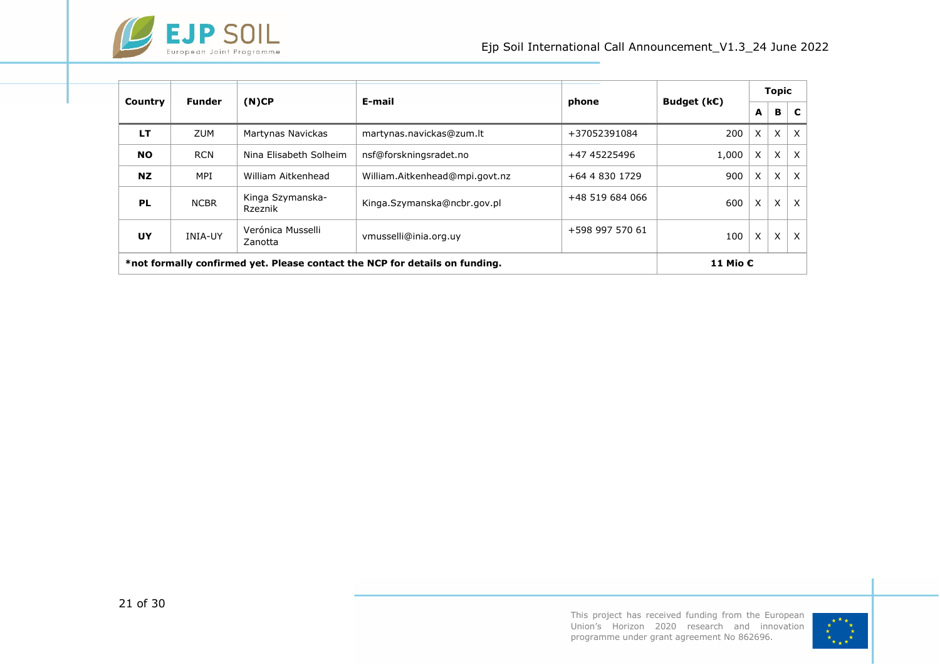

|                                                                             | <b>Funder</b>  |                              | E-mail                         | phone           |             |          | <b>Topic</b> |              |
|-----------------------------------------------------------------------------|----------------|------------------------------|--------------------------------|-----------------|-------------|----------|--------------|--------------|
| Country                                                                     |                | (N)CP                        |                                |                 | Budget (k€) | A        | B            | C            |
| LT                                                                          | <b>ZUM</b>     | Martynas Navickas            | martynas.navickas@zum.lt       | +37052391084    | 200         | X        | X            | $\times$     |
| <b>NO</b>                                                                   | <b>RCN</b>     | Nina Elisabeth Solheim       | nsf@forskningsradet.no         | +47 45225496    | 1,000       | X        | X            | $\times$     |
| NZ.                                                                         | MPI            | William Aitkenhead           | William.Aitkenhead@mpi.govt.nz | +64 4 830 1729  | 900         | X        | X            | $\mathsf{x}$ |
| PL                                                                          | <b>NCBR</b>    | Kinga Szymanska-<br>Rzeznik  | Kinga.Szymanska@ncbr.gov.pl    | +48 519 684 066 | 600         | X        | X            | X            |
| UY                                                                          | <b>INIA-UY</b> | Verónica Musselli<br>Zanotta | vmusselli@inia.org.uy          | +598 997 570 61 | 100         | X        | X            | X            |
| *not formally confirmed yet. Please contact the NCP for details on funding. |                |                              |                                |                 |             | 11 Mio € |              |              |



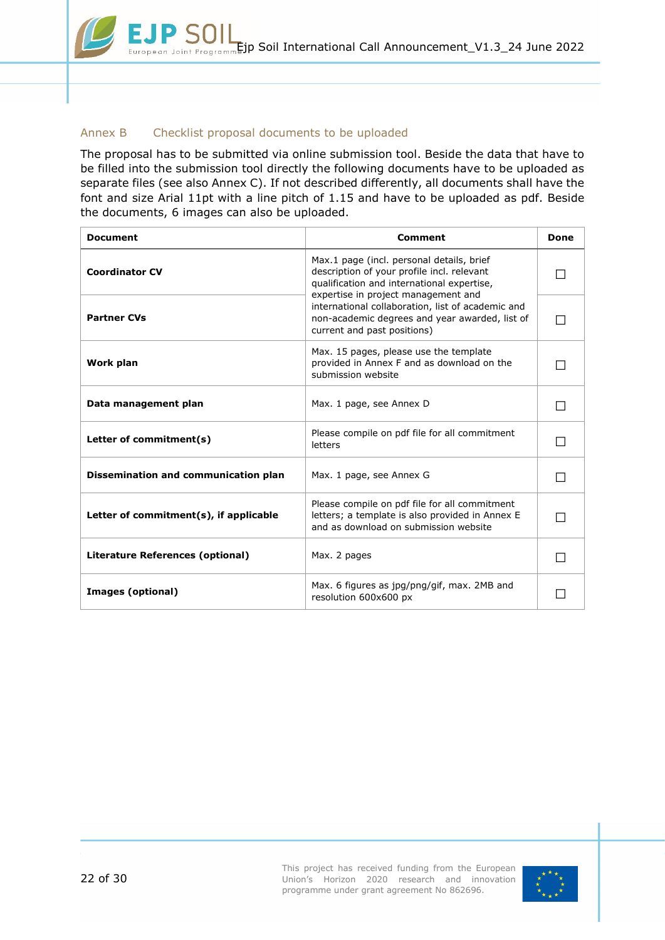### <span id="page-21-0"></span>Annex B Checklist proposal documents to be uploaded

The proposal has to be submitted via online submission tool. Beside the data that have to be filled into the submission tool directly the following documents have to be uploaded as separate files (see also [Annex C\)](#page-22-0). If not described differently, all documents shall have the font and size Arial 11pt with a line pitch of 1.15 and have to be uploaded as pdf. Beside the documents, 6 images can also be uploaded.

| <b>Document</b>                        | <b>Comment</b>                                                                                                                                                               | Done |
|----------------------------------------|------------------------------------------------------------------------------------------------------------------------------------------------------------------------------|------|
| <b>Coordinator CV</b>                  | Max.1 page (incl. personal details, brief<br>description of your profile incl. relevant<br>qualification and international expertise,<br>expertise in project management and |      |
| <b>Partner CVs</b>                     | international collaboration, list of academic and<br>non-academic degrees and year awarded, list of<br>current and past positions)                                           |      |
| Work plan                              | Max. 15 pages, please use the template<br>provided in Annex F and as download on the<br>submission website                                                                   |      |
| Data management plan                   | Max. 1 page, see Annex D                                                                                                                                                     |      |
| Letter of commitment(s)                | Please compile on pdf file for all commitment<br>letters                                                                                                                     |      |
| Dissemination and communication plan   | Max. 1 page, see Annex G                                                                                                                                                     |      |
| Letter of commitment(s), if applicable | Please compile on pdf file for all commitment<br>letters; a template is also provided in Annex E<br>and as download on submission website                                    |      |
| Literature References (optional)       | Max. 2 pages                                                                                                                                                                 |      |
| Images (optional)                      | Max. 6 figures as jpg/png/gif, max. 2MB and<br>resolution 600x600 px                                                                                                         |      |

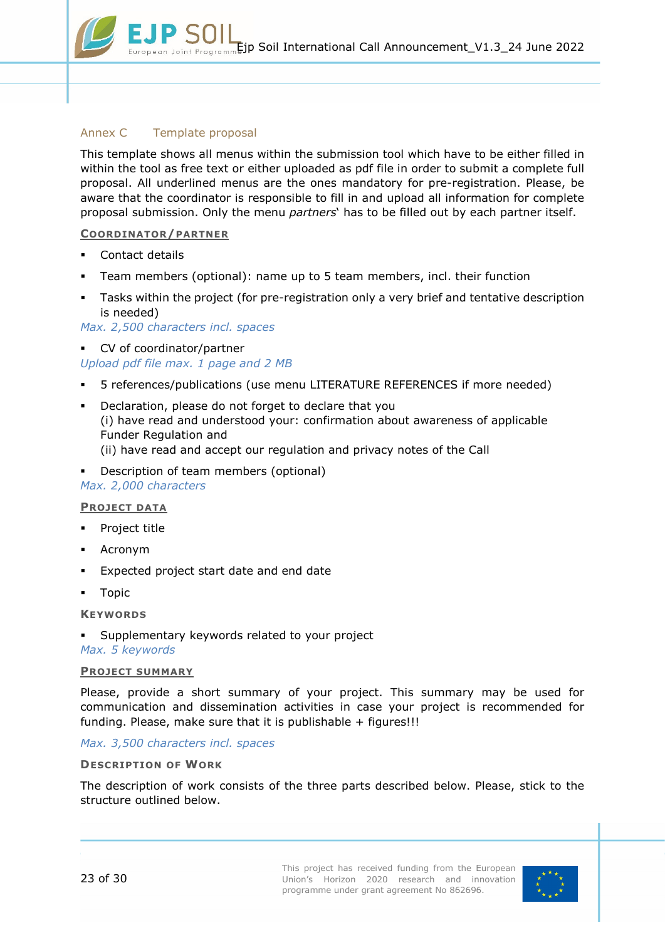### <span id="page-22-0"></span>Annex C Template proposal

This template shows all menus within the submission tool which have to be either filled in within the tool as free text or either uploaded as pdf file in order to submit a complete full proposal. All underlined menus are the ones mandatory for pre-registration. Please, be aware that the coordinator is responsible to fill in and upload all information for complete proposal submission. Only the menu *partners*' has to be filled out by each partner itself.

#### **COORDINATOR/PARTNER**

- Contact details
- Team members (optional): name up to 5 team members, incl. their function
- Tasks within the project (for pre-registration only a very brief and tentative description is needed)

*Max. 2,500 characters incl. spaces*

- CV of coordinator/partner *Upload pdf file max. 1 page and 2 MB*
- 5 references/publications (use menu LITERATURE REFERENCES if more needed)
- Declaration, please do not forget to declare that you (i) have read and understood your: confirmation about awareness of applicable Funder Regulation and (ii) have read and accept our regulation and privacy notes of the Call
- Description of team members (optional)

#### *Max. 2,000 characters*

#### **PROJECT DATA**

- Project title
- Acronym
- Expected project start date and end date
- **-** Topic

**KEYWORDS**

 Supplementary keywords related to your project *Max. 5 keywords*

#### **PROJECT SUMMARY**

Please, provide a short summary of your project. This summary may be used for communication and dissemination activities in case your project is recommended for funding. Please, make sure that it is publishable  $+$  figures!!!

*Max. 3,500 characters incl. spaces*

#### **DESCRIPTION OF WORK**

The description of work consists of the three parts described below. Please, stick to the structure outlined below.

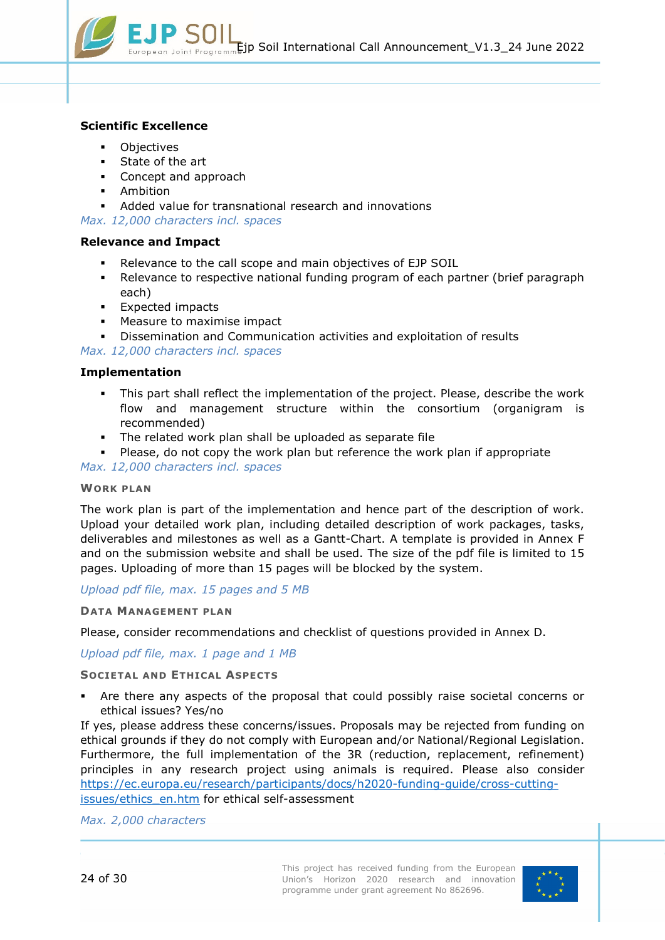

### **Scientific Excellence**

- **Objectives**
- **State of the art**
- Concept and approach
- **Ambition**
- Added value for transnational research and innovations

*Max. 12,000 characters incl. spaces*

#### **Relevance and Impact**

- Relevance to the call scope and main objectives of EJP SOIL
- Relevance to respective national funding program of each partner (brief paragraph each)
- **Expected impacts**
- **Measure to maximise impact**
- Dissemination and Communication activities and exploitation of results

*Max. 12,000 characters incl. spaces*

#### **Implementation**

- This part shall reflect the implementation of the project. Please, describe the work flow and management structure within the consortium (organigram is recommended)
- The related work plan shall be uploaded as separate file

Please, do not copy the work plan but reference the work plan if appropriate

*Max. 12,000 characters incl. spaces*

#### **WORK PLAN**

The work plan is part of the implementation and hence part of the description of work. Upload your detailed work plan, including detailed description of work packages, tasks, deliverables and milestones as well as a Gantt-Chart. A template is provided in [Annex F](#page-28-0) and on the submission website and shall be used. The size of the pdf file is limited to 15 pages. Uploading of more than 15 pages will be blocked by the system.

*Upload pdf file, max. 15 pages and 5 MB*

#### **DATA MANAGEMENT PLAN**

Please, consider recommendations and checklist of questions provided in [Annex D.](#page-26-0)

#### *Upload pdf file, max. 1 page and 1 MB*

#### **SOCIETAL AND ETHICAL ASPECTS**

 Are there any aspects of the proposal that could possibly raise societal concerns or ethical issues? Yes/no

If yes, please address these concerns/issues. Proposals may be rejected from funding on ethical grounds if they do not comply with European and/or National/Regional Legislation. Furthermore, the full implementation of the 3R (reduction, replacement, refinement) principles in any research project using animals is required. Please also consider [https://ec.europa.eu/research/participants/docs/h2020-funding-guide/cross-cutting](https://ec.europa.eu/research/participants/docs/h2020-funding-guide/cross-cutting-issues/ethics_en.htm)[issues/ethics\\_en.htm](https://ec.europa.eu/research/participants/docs/h2020-funding-guide/cross-cutting-issues/ethics_en.htm) for ethical self-assessment

*Max. 2,000 characters*

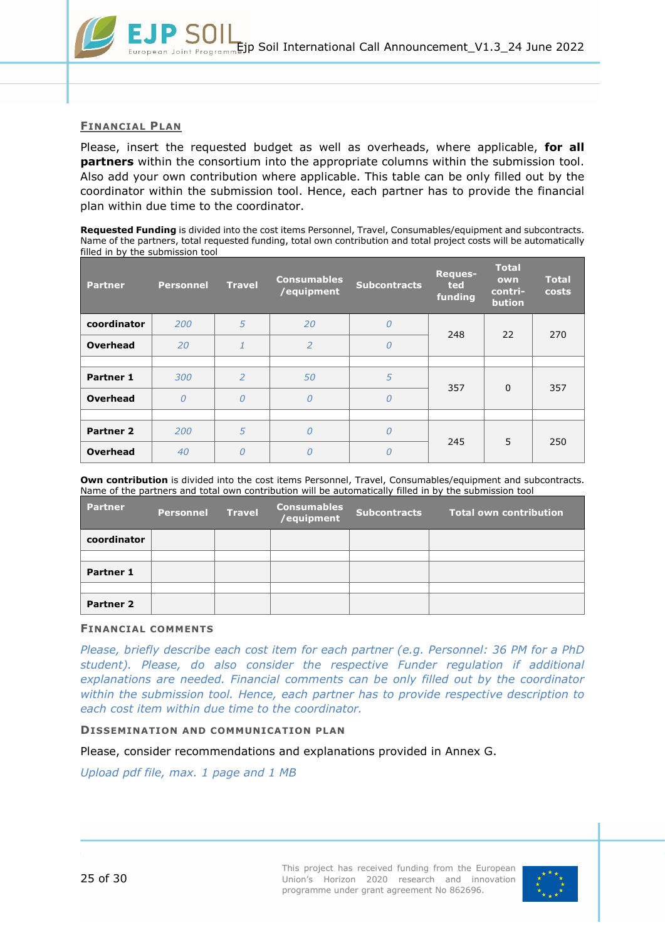

#### **FINANCIAL PLAN**

Please, insert the requested budget as well as overheads, where applicable, **for all partners** within the consortium into the appropriate columns within the submission tool. Also add your own contribution where applicable. This table can be only filled out by the coordinator within the submission tool. Hence, each partner has to provide the financial plan within due time to the coordinator.

**Requested Funding** is divided into the cost items Personnel, Travel, Consumables/equipment and subcontracts. Name of the partners, total requested funding, total own contribution and total project costs will be automatically filled in by the submission tool

| <b>Partner</b>   | <b>Personnel</b> | <b>Travel</b>  | <b>Consumables</b><br>/equipment | <b>Subcontracts</b> | Reques-<br>ted<br>funding | <b>Total</b><br>own<br>contri-<br>bution | <b>Total</b><br>costs |
|------------------|------------------|----------------|----------------------------------|---------------------|---------------------------|------------------------------------------|-----------------------|
| coordinator      | 200              | 5              | 20                               | $\theta$            | 248                       | 22                                       | 270                   |
| <b>Overhead</b>  | 20               |                | $\overline{2}$                   | $\theta$            |                           |                                          |                       |
|                  |                  |                |                                  |                     |                           |                                          |                       |
| <b>Partner 1</b> | 300              | $\overline{2}$ | 50                               | 5                   | 357                       | $\Omega$                                 | 357                   |
| <b>Overhead</b>  | $\overline{0}$   | 0              | $\overline{O}$                   | $\theta$            |                           |                                          |                       |
|                  |                  |                |                                  |                     |                           |                                          |                       |
| <b>Partner 2</b> | 200              | 5              | 0                                | $\theta$            | 245                       | 5                                        | 250                   |
| <b>Overhead</b>  | 40               | 0              | 0                                | $\overline{O}$      |                           |                                          |                       |

**Own contribution** is divided into the cost items Personnel, Travel, Consumables/equipment and subcontracts. Name of the partners and total own contribution will be automatically filled in by the submission tool

| <b>Partner</b>   | <b>Personnel</b> | <b>Travel</b> | <b>Consumables</b><br>/equipment | <b>Subcontracts</b> | <b>Total own contribution</b> |
|------------------|------------------|---------------|----------------------------------|---------------------|-------------------------------|
| coordinator      |                  |               |                                  |                     |                               |
|                  |                  |               |                                  |                     |                               |
| Partner 1        |                  |               |                                  |                     |                               |
|                  |                  |               |                                  |                     |                               |
| <b>Partner 2</b> |                  |               |                                  |                     |                               |

#### **FINANCIAL COMMENTS**

*Please, briefly describe each cost item for each partner (e.g. Personnel: 36 PM for a PhD student). Please, do also consider the respective Funder regulation if additional explanations are needed. Financial comments can be only filled out by the coordinator within the submission tool. Hence, each partner has to provide respective description to each cost item within due time to the coordinator.*

#### **DISSEMINATION AND COMMUNICATION PLAN**

Please, consider recommendations and explanations provided in Annex G.

*Upload pdf file, max. 1 page and 1 MB*

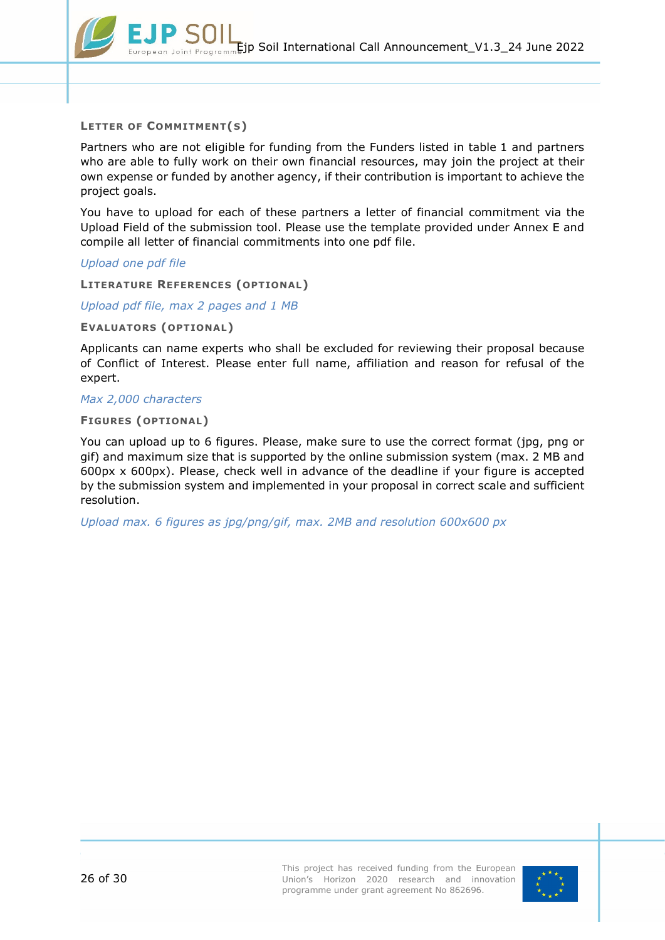

#### **LETTER OF COMMITMENT(S)**

Partners who are not eligible for funding from the Funders listed in table 1 and partners who are able to fully work on their own financial resources, may join the project at their own expense or funded by another agency, if their contribution is important to achieve the project goals.

You have to upload for each of these partners a letter of financial commitment via the Upload Field of the submission tool. Please use the template provided under [Annex E](#page-27-0) and compile all letter of financial commitments into one pdf file.

*Upload one pdf file*

**LITERATURE REFERENCES (OPTIONAL)**

*Upload pdf file, max 2 pages and 1 MB*

**EVALUATORS (OPTIONAL)**

Applicants can name experts who shall be excluded for reviewing their proposal because of Conflict of Interest. Please enter full name, affiliation and reason for refusal of the expert.

### *Max 2,000 characters*

#### **FIGURES (OPTIONAL)**

You can upload up to 6 figures. Please, make sure to use the correct format (jpg, png or gif) and maximum size that is supported by the online submission system (max. 2 MB and 600px x 600px). Please, check well in advance of the deadline if your figure is accepted by the submission system and implemented in your proposal in correct scale and sufficient resolution.

*Upload max. 6 figures as jpg/png/gif, max. 2MB and resolution 600x600 px*

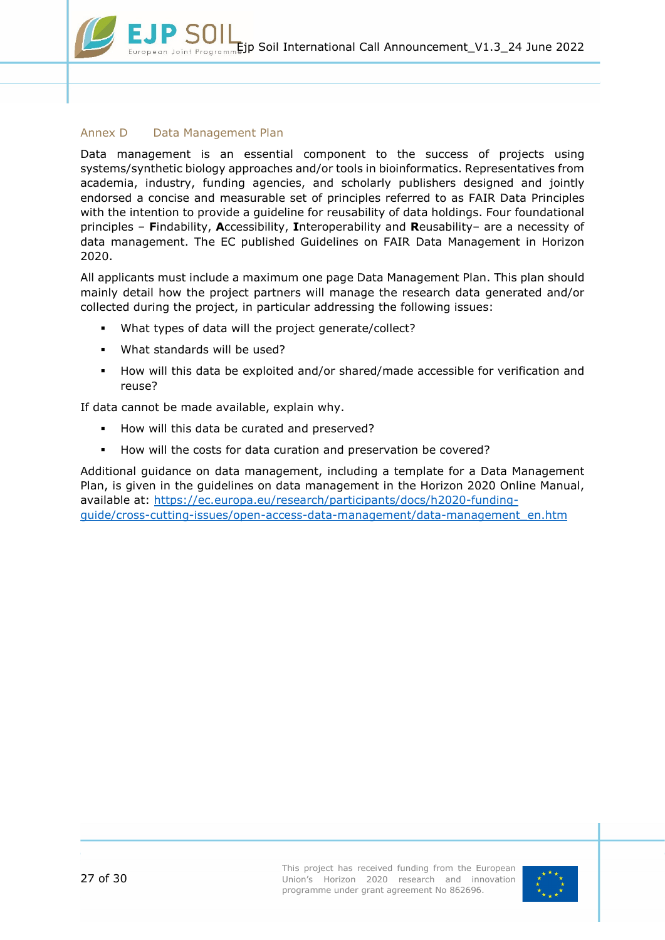#### <span id="page-26-0"></span>Annex D Data Management Plan

Data management is an essential component to the success of projects using systems/synthetic biology approaches and/or tools in bioinformatics. Representatives from academia, industry, funding agencies, and scholarly publishers designed and jointly endorsed a concise and measurable set of principles referred to as FAIR Data Principles with the intention to provide a guideline for reusability of data holdings. Four foundational principles – **F**indability, **A**ccessibility, **I**nteroperability and **R**eusability– are a necessity of data management. The EC published Guidelines on FAIR Data Management in Horizon 2020.

All applicants must include a maximum one page Data Management Plan. This plan should mainly detail how the project partners will manage the research data generated and/or collected during the project, in particular addressing the following issues:

- What types of data will the project generate/collect?
- What standards will be used?
- How will this data be exploited and/or shared/made accessible for verification and reuse?

If data cannot be made available, explain why.

- How will this data be curated and preserved?
- **How will the costs for data curation and preservation be covered?**

Additional guidance on data management, including a template for a Data Management Plan, is given in the guidelines on data management in the Horizon 2020 Online Manual, available at: [https://ec.europa.eu/research/participants/docs/h2020-funding](https://ec.europa.eu/research/participants/docs/h2020-funding-guide/cross-cutting-issues/open-access-data-management/data-management_en.htm)[guide/cross-cutting-issues/open-access-data-management/data-management\\_en.htm](https://ec.europa.eu/research/participants/docs/h2020-funding-guide/cross-cutting-issues/open-access-data-management/data-management_en.htm)

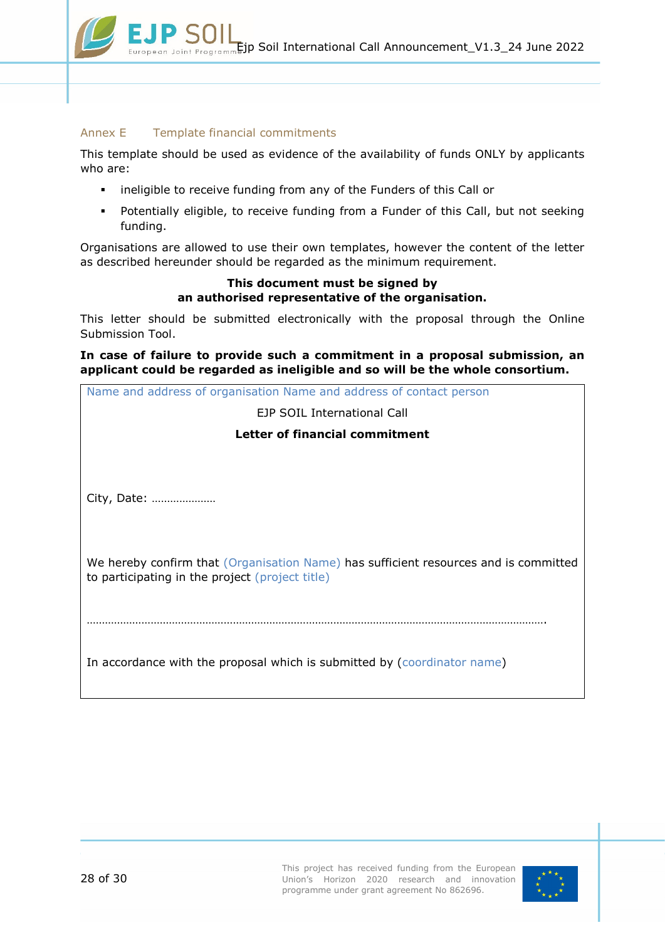### <span id="page-27-0"></span>Annex E Template financial commitments

This template should be used as evidence of the availability of funds ONLY by applicants who are:

- **EXEDENT I** ineligible to receive funding from any of the Funders of this Call or
- Potentially eligible, to receive funding from a Funder of this Call, but not seeking funding.

Organisations are allowed to use their own templates, however the content of the letter as described hereunder should be regarded as the minimum requirement.

### **This document must be signed by an authorised representative of the organisation.**

This letter should be submitted electronically with the proposal through the Online Submission Tool.

**In case of failure to provide such a commitment in a proposal submission, an applicant could be regarded as ineligible and so will be the whole consortium.**

| Name and address of organisation Name and address of contact person                  |  |  |  |  |  |  |  |  |
|--------------------------------------------------------------------------------------|--|--|--|--|--|--|--|--|
| EJP SOIL International Call                                                          |  |  |  |  |  |  |  |  |
| Letter of financial commitment                                                       |  |  |  |  |  |  |  |  |
|                                                                                      |  |  |  |  |  |  |  |  |
|                                                                                      |  |  |  |  |  |  |  |  |
| City, Date:                                                                          |  |  |  |  |  |  |  |  |
|                                                                                      |  |  |  |  |  |  |  |  |
|                                                                                      |  |  |  |  |  |  |  |  |
| We hereby confirm that (Organisation Name) has sufficient resources and is committed |  |  |  |  |  |  |  |  |
| to participating in the project (project title)                                      |  |  |  |  |  |  |  |  |
|                                                                                      |  |  |  |  |  |  |  |  |
|                                                                                      |  |  |  |  |  |  |  |  |
|                                                                                      |  |  |  |  |  |  |  |  |
| In accordance with the proposal which is submitted by (coordinator name)             |  |  |  |  |  |  |  |  |
|                                                                                      |  |  |  |  |  |  |  |  |

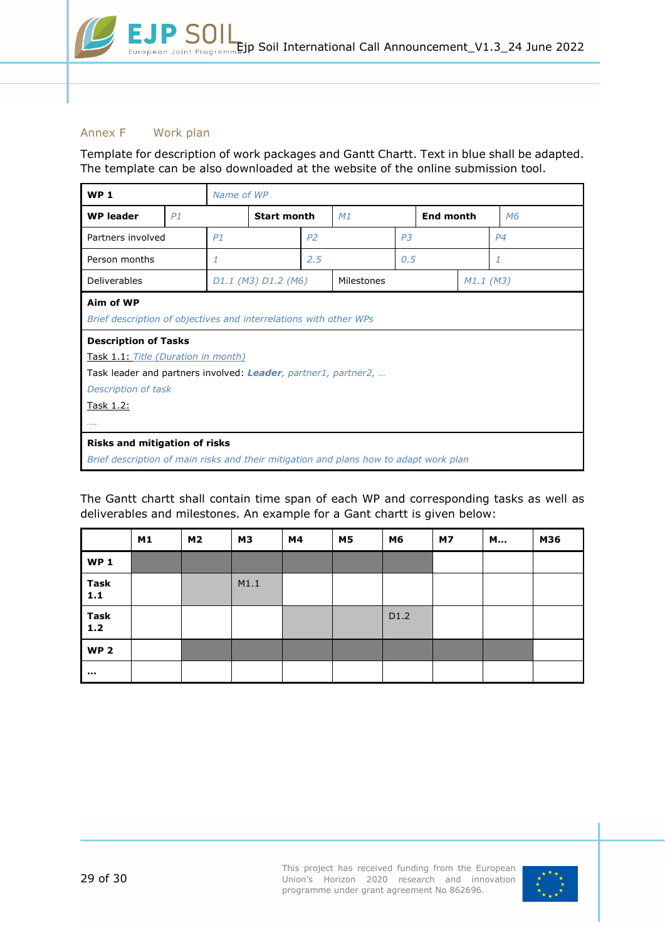### <span id="page-28-0"></span>Annex F Work plan

Template for description of work packages and Gantt Chartt. Text in blue shall be adapted. The template can be also downloaded at the website of the online submission tool.

| WP <sub>1</sub>                                                                                                                                                                                                                                                   |    | Name of WP          |                    |                |            |                |                  |             |                |  |
|-------------------------------------------------------------------------------------------------------------------------------------------------------------------------------------------------------------------------------------------------------------------|----|---------------------|--------------------|----------------|------------|----------------|------------------|-------------|----------------|--|
| <b>WP</b> leader                                                                                                                                                                                                                                                  | P1 |                     | <b>Start month</b> |                | M1         |                | <b>End month</b> |             | M <sub>6</sub> |  |
| Partners involved                                                                                                                                                                                                                                                 |    | P1                  |                    | P <sub>2</sub> |            | P <sub>3</sub> |                  |             | P <sub>4</sub> |  |
| Person months                                                                                                                                                                                                                                                     |    | 1                   |                    | 2.5            |            | 0.5            |                  |             | 1              |  |
| <b>Deliverables</b>                                                                                                                                                                                                                                               |    | D1.1 (M3) D1.2 (M6) |                    |                | Milestones |                |                  | $M1.1$ (M3) |                |  |
| Aim of WP<br>Brief description of objectives and interrelations with other WPs<br><b>Description of Tasks</b><br>Task 1.1: Title (Duration in month)<br>Task leader and partners involved: Leader, partner1, partner2,<br>Description of task<br><u>Task 1.2:</u> |    |                     |                    |                |            |                |                  |             |                |  |
|                                                                                                                                                                                                                                                                   |    |                     |                    |                |            |                |                  |             |                |  |
| <b>Risks and mitigation of risks</b><br>Brief description of main risks and their mitigation and plans how to adapt work plan                                                                                                                                     |    |                     |                    |                |            |                |                  |             |                |  |
|                                                                                                                                                                                                                                                                   |    |                     |                    |                |            |                |                  |             |                |  |

The Gantt chartt shall contain time span of each WP and corresponding tasks as well as deliverables and milestones. An example for a Gant chartt is given below:

|                      | M1 | M2 | <b>M3</b> | M4 | <b>M5</b> | M6   | <b>M7</b> | M | M36 |
|----------------------|----|----|-----------|----|-----------|------|-----------|---|-----|
| <b>WP1</b>           |    |    |           |    |           |      |           |   |     |
| <b>Task</b><br>$1.1$ |    |    | M1.1      |    |           |      |           |   |     |
| <b>Task</b><br>1.2   |    |    |           |    |           | D1.2 |           |   |     |
| <b>WP2</b>           |    |    |           |    |           |      |           |   |     |
| $\sim$               |    |    |           |    |           |      |           |   |     |